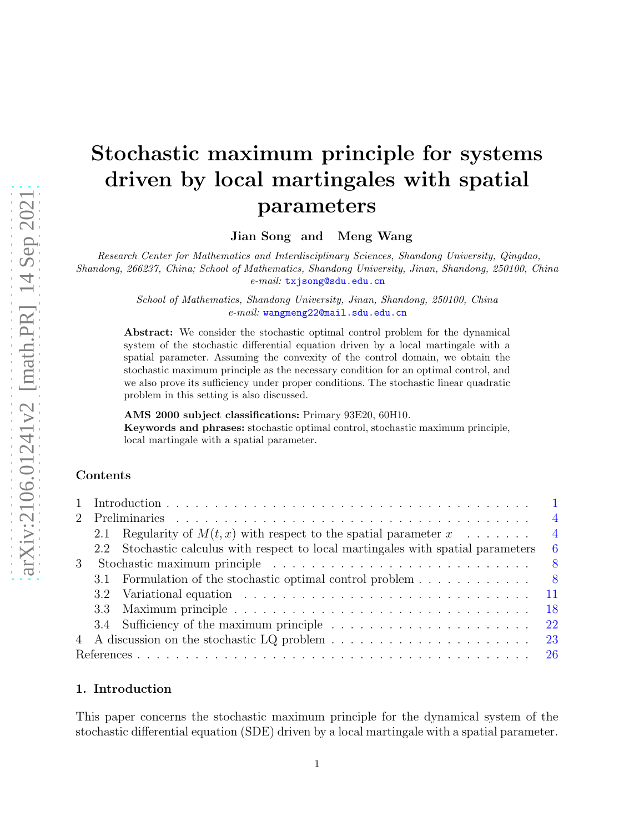# arXiv:2106.01241v2 [math.PR] 14 Sep 2021 [arXiv:2106.01241v2 \[math.PR\] 14 Sep 2021](http://arxiv.org/abs/2106.01241v2)

# Stochastic maximum principle for systems driven by local martingales with spatial parameters

Jian Song and Meng Wang

Research Center for Mathematics and Interdisciplinary Sciences, Shandong University, Qingdao, Shandong, 266237, China; School of Mathematics, Shandong University, Jinan, Shandong, 250100, China e-mail: [txjsong@sdu.edu.cn](mailto:txjsong@sdu.edu.cn)

> School of Mathematics, Shandong University, Jinan, Shandong, 250100, China e-mail: [wangmeng22@mail.sdu.edu.cn](mailto:wangmeng22@mail.sdu.edu.cn)

Abstract: We consider the stochastic optimal control problem for the dynamical system of the stochastic differential equation driven by a local martingale with a spatial parameter. Assuming the convexity of the control domain, we obtain the stochastic maximum principle as the necessary condition for an optimal control, and we also prove its sufficiency under proper conditions. The stochastic linear quadratic problem in this setting is also discussed.

AMS 2000 subject classifications: Primary 93E20, 60H10.

Keywords and phrases: stochastic optimal control, stochastic maximum principle, local martingale with a spatial parameter.

# Contents

|  |                                                                                                                          | $\overline{4}$  |
|--|--------------------------------------------------------------------------------------------------------------------------|-----------------|
|  | 2.1 Regularity of $M(t, x)$ with respect to the spatial parameter $x \dots \dots$                                        | $\overline{4}$  |
|  | 2.2 Stochastic calculus with respect to local martingales with spatial parameters                                        | - 6             |
|  |                                                                                                                          | - 8             |
|  | 3.1 Formulation of the stochastic optimal control problem                                                                | - 8             |
|  | 3.2 Variational equation excession contained a series and series and series and series are series and series of $\alpha$ | $\overline{11}$ |
|  |                                                                                                                          | -18             |
|  |                                                                                                                          | -22             |
|  |                                                                                                                          | - 23            |
|  |                                                                                                                          |                 |

## <span id="page-0-0"></span>1. Introduction

This paper concerns the stochastic maximum principle for the dynamical system of the stochastic differential equation (SDE) driven by a local martingale with a spatial parameter.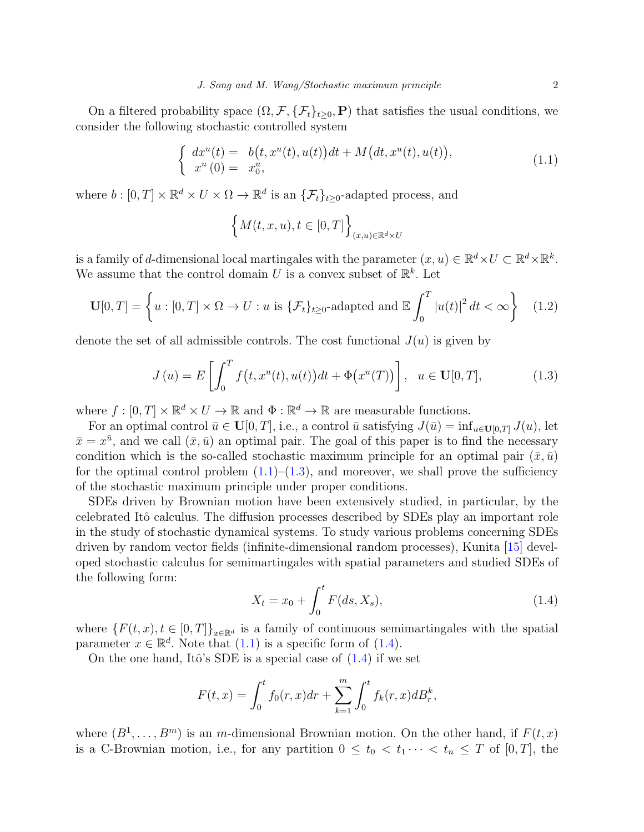On a filtered probability space  $(\Omega, \mathcal{F}, \{\mathcal{F}_t\}_{t>0}, P)$  that satisfies the usual conditions, we consider the following stochastic controlled system

<span id="page-1-0"></span>
$$
\begin{cases}\n dx^{u}(t) = b(t, x^{u}(t), u(t))dt + M(dt, x^{u}(t), u(t)), \nx^{u}(0) = x_{0}^{u},\n\end{cases}
$$
\n(1.1)

where  $b : [0, T] \times \mathbb{R}^d \times U \times \Omega \to \mathbb{R}^d$  is an  $\{\mathcal{F}_t\}_{t \geq 0}$ -adapted process, and

$$
\left\{M(t, x, u), t \in [0, T]\right\}_{(x, u)\in \mathbb{R}^d \times U}
$$

is a family of d-dimensional local martingales with the parameter  $(x, u) \in \mathbb{R}^d \times U \subset \mathbb{R}^d \times \mathbb{R}^k$ . We assume that the control domain U is a convex subset of  $\mathbb{R}^k$ . Let

<span id="page-1-3"></span>
$$
\mathbf{U}[0,T] = \left\{ u : [0,T] \times \Omega \to U : u \text{ is } \{ \mathcal{F}_t \}_{t \ge 0} \text{-adapted and } \mathbb{E} \int_0^T |u(t)|^2 dt < \infty \right\} \quad (1.2)
$$

denote the set of all admissible controls. The cost functional  $J(u)$  is given by

<span id="page-1-1"></span>
$$
J(u) = E\left[\int_0^T f(t, x^u(t), u(t))dt + \Phi(x^u(T))\right], \quad u \in \mathbf{U}[0, T],
$$
 (1.3)

where  $f : [0, T] \times \mathbb{R}^d \times U \to \mathbb{R}$  and  $\Phi : \mathbb{R}^d \to \mathbb{R}$  are measurable functions.

For an optimal control  $\bar{u} \in \mathbf{U}[0,T]$ , i.e., a control  $\bar{u}$  satisfying  $J(\bar{u}) = \inf_{u \in \mathbf{U}[0,T]} J(u)$ , let  $\bar{x} = x^{\bar{u}}$ , and we call  $(\bar{x}, \bar{u})$  an optimal pair. The goal of this paper is to find the necessary condition which is the so-called stochastic maximum principle for an optimal pair  $(\bar{x}, \bar{u})$ for the optimal control problem  $(1.1)$ – $(1.3)$ , and moreover, we shall prove the sufficiency of the stochastic maximum principle under proper conditions.

SDEs driven by Brownian motion have been extensively studied, in particular, by the celebrated Itô calculus. The diffusion processes described by SDEs play an important role in the study of stochastic dynamical systems. To study various problems concerning SDEs driven by random vector fields (infinite-dimensional random processes), Kunita [\[15\]](#page-26-0) developed stochastic calculus for semimartingales with spatial parameters and studied SDEs of the following form:

<span id="page-1-2"></span>
$$
X_t = x_0 + \int_0^t F(ds, X_s), \tag{1.4}
$$

where  $\{F(t, x), t \in [0, T]\}_{x \in \mathbb{R}^d}$  is a family of continuous semimartingales with the spatial parameter  $x \in \mathbb{R}^d$ . Note that  $(1.1)$  is a specific form of  $(1.4)$ .

On the one hand, Itô's SDE is a special case of  $(1.4)$  if we set

$$
F(t,x) = \int_0^t f_0(r,x)dr + \sum_{k=1}^m \int_0^t f_k(r,x)dB_r^k,
$$

where  $(B^1, \ldots, B^m)$  is an *m*-dimensional Brownian motion. On the other hand, if  $F(t, x)$ is a C-Brownian motion, i.e., for any partition  $0 \leq t_0 < t_1 \cdots < t_n \leq T$  of  $[0, T]$ , the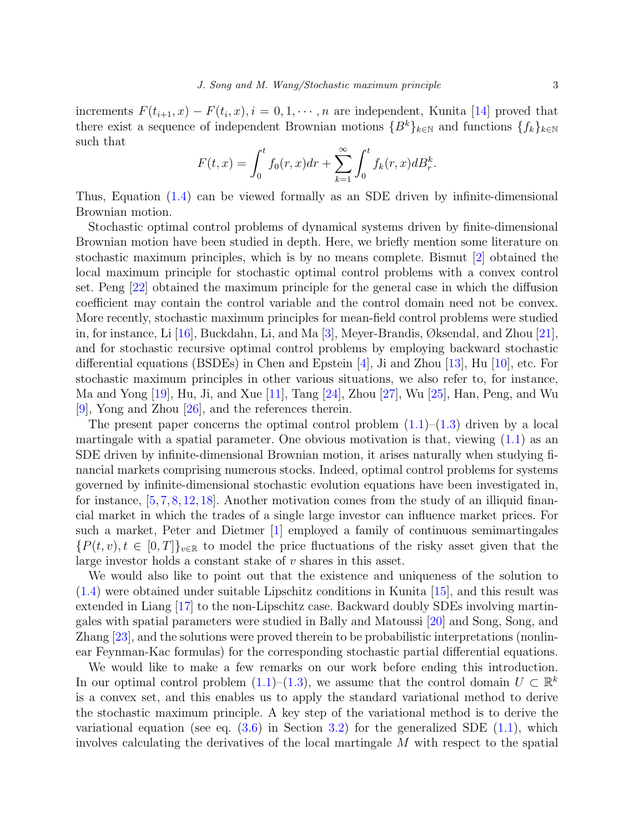increments  $F(t_{i+1}, x) - F(t_i, x), i = 0, 1, \dots, n$  are independent, Kunita [\[14\]](#page-26-1) proved that there exist a sequence of independent Brownian motions  ${B<sup>k</sup>}_{k\in\mathbb{N}}$  and functions  ${f<sub>k</sub>}_{k\in\mathbb{N}}$ such that

$$
F(t,x) = \int_0^t f_0(r,x)dr + \sum_{k=1}^{\infty} \int_0^t f_k(r,x)dB_r^k.
$$

Thus, Equation [\(1.4\)](#page-1-2) can be viewed formally as an SDE driven by infinite-dimensional Brownian motion.

Stochastic optimal control problems of dynamical systems driven by finite-dimensional Brownian motion have been studied in depth. Here, we briefly mention some literature on stochastic maximum principles, which is by no means complete. Bismut [\[2\]](#page-25-1) obtained the local maximum principle for stochastic optimal control problems with a convex control set. Peng [\[22\]](#page-26-2) obtained the maximum principle for the general case in which the diffusion coefficient may contain the control variable and the control domain need not be convex. More recently, stochastic maximum principles for mean-field control problems were studied in, for instance, Li [\[16\]](#page-26-3), Buckdahn, Li, and Ma [\[3\]](#page-25-2), Meyer-Brandis, Øksendal, and Zhou [\[21\]](#page-26-4), and for stochastic recursive optimal control problems by employing backward stochastic differential equations (BSDEs) in Chen and Epstein [\[4\]](#page-25-3), Ji and Zhou [\[13\]](#page-26-5), Hu [\[10\]](#page-25-4), etc. For stochastic maximum principles in other various situations, we also refer to, for instance, Ma and Yong  $[19]$ , Hu, Ji, and Xue  $[11]$ , Tang  $[24]$ , Zhou  $[27]$ , Wu  $[25]$ , Han, Peng, and Wu [\[9\]](#page-25-5), Yong and Zhou [\[26\]](#page-26-11), and the references therein.

The present paper concerns the optimal control problem  $(1.1)$ – $(1.3)$  driven by a local martingale with a spatial parameter. One obvious motivation is that, viewing  $(1.1)$  as an SDE driven by infinite-dimensional Brownian motion, it arises naturally when studying financial markets comprising numerous stocks. Indeed, optimal control problems for systems governed by infinite-dimensional stochastic evolution equations have been investigated in, for instance,  $[5, 7, 8, 12, 18]$  $[5, 7, 8, 12, 18]$  $[5, 7, 8, 12, 18]$  $[5, 7, 8, 12, 18]$  $[5, 7, 8, 12, 18]$  $[5, 7, 8, 12, 18]$  $[5, 7, 8, 12, 18]$  $[5, 7, 8, 12, 18]$ . Another motivation comes from the study of an illiquid financial market in which the trades of a single large investor can influence market prices. For such a market, Peter and Dietmer [\[1\]](#page-25-9) employed a family of continuous semimartingales  ${P(t, v), t \in [0, T]}_{v \in \mathbb{R}}$  to model the price fluctuations of the risky asset given that the large investor holds a constant stake of v shares in this asset.

We would also like to point out that the existence and uniqueness of the solution to [\(1.4\)](#page-1-2) were obtained under suitable Lipschitz conditions in Kunita [\[15\]](#page-26-0), and this result was extended in Liang [\[17\]](#page-26-14) to the non-Lipschitz case. Backward doubly SDEs involving martingales with spatial parameters were studied in Bally and Matoussi [\[20\]](#page-26-15) and Song, Song, and Zhang [\[23\]](#page-26-16), and the solutions were proved therein to be probabilistic interpretations (nonlinear Feynman-Kac formulas) for the corresponding stochastic partial differential equations.

We would like to make a few remarks on our work before ending this introduction. In our optimal control problem  $(1.1)$ – $(1.3)$ , we assume that the control domain  $U \subset \mathbb{R}^k$ is a convex set, and this enables us to apply the standard variational method to derive the stochastic maximum principle. A key step of the variational method is to derive the variational equation (see eq.  $(3.6)$  in Section [3.2\)](#page-10-0) for the generalized SDE  $(1.1)$ , which involves calculating the derivatives of the local martingale M with respect to the spatial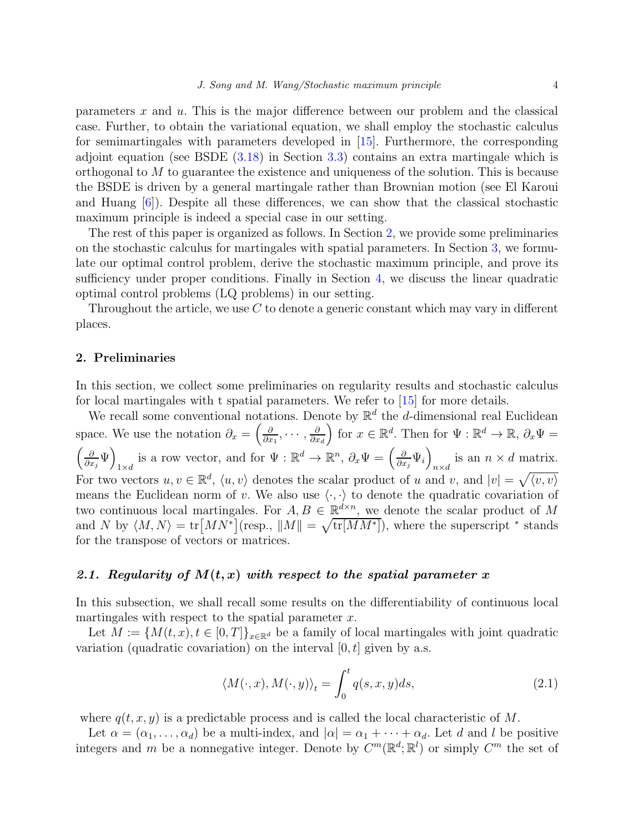parameters  $x$  and  $u$ . This is the major difference between our problem and the classical case. Further, to obtain the variational equation, we shall employ the stochastic calculus for semimartingales with parameters developed in  $|15|$ . Furthermore, the corresponding adjoint equation (see BSDE [\(3.18\)](#page-17-1) in Section [3.3\)](#page-17-0) contains an extra martingale which is orthogonal to M to guarantee the existence and uniqueness of the solution. This is because the BSDE is driven by a general martingale rather than Brownian motion (see El Karoui and Huang [\[6\]](#page-25-10)). Despite all these differences, we can show that the classical stochastic maximum principle is indeed a special case in our setting.

The rest of this paper is organized as follows. In Section [2,](#page-3-0) we provide some preliminaries on the stochastic calculus for martingales with spatial parameters. In Section [3,](#page-7-0) we formulate our optimal control problem, derive the stochastic maximum principle, and prove its sufficiency under proper conditions. Finally in Section [4,](#page-22-0) we discuss the linear quadratic optimal control problems (LQ problems) in our setting.

Throughout the article, we use C to denote a generic constant which may vary in different places.

### <span id="page-3-0"></span>2. Preliminaries

In this section, we collect some preliminaries on regularity results and stochastic calculus for local martingales with t spatial parameters. We refer to [\[15\]](#page-26-0) for more details.

We recall some conventional notations. Denote by  $\mathbb{R}^d$  the d-dimensional real Euclidean space. We use the notation  $\partial_x = \begin{pmatrix} \frac{\partial}{\partial x} & \frac{\partial}{\partial y} & \frac{\partial}{\partial y} \\ \frac{\partial}{\partial y} & \frac{\partial}{\partial z} & \frac{\partial}{\partial z} & \frac{\partial}{\partial z} \\ \frac{\partial}{\partial z} & \frac{\partial}{\partial z} & \frac{\partial}{\partial z} & \frac{\partial}{\partial z} & \frac{\partial}{\partial z} \\ \frac{\partial}{\partial z} & \frac{\partial}{\partial z} & \frac{\partial}{\partial z} & \frac{\partial}{\partial z} & \frac{\partial}{\partial z} \\ \frac{\partial}{\partial z} & \frac{\$  $\frac{\partial}{\partial x_1},\cdots,\frac{\partial}{\partial x_n}$  $\partial x_d$ for  $x \in \mathbb{R}^d$ . Then for  $\Psi : \mathbb{R}^d \to \mathbb{R}$ ,  $\partial_x \Psi =$  ∂  $\frac{\partial}{\partial x_j}\Psi\Bigg)$ is a row vector, and for  $\Psi : \mathbb{R}^d \to \mathbb{R}^n$ ,  $\partial_x \Psi = \left(\frac{\partial}{\partial x}\right)$  $\frac{\partial}{\partial x_j} \Psi_i\Bigg)$  $\sum_{n \times d}$  is an  $n \times d$  matrix. For two vectors  $u, v \in \mathbb{R}^d$ ,  $\langle u, v \rangle$  denotes the scalar product of u and v, and  $|v| = \sqrt{\langle v, v \rangle}$ means the Euclidean norm of v. We also use  $\langle \cdot, \cdot \rangle$  to denote the quadratic covariation of two continuous local martingales. For  $A, B \in \mathbb{R}^{d \times n}$ , we denote the scalar product of M and N by  $\langle M, N \rangle = \text{tr}[MN^*](\text{resp., } ||M|| = \sqrt{\text{tr}[MN^*]}),$  where the superscript  $*$  stands for the transpose of vectors or matrices.

### <span id="page-3-1"></span>2.1. Regularity of  $M(t, x)$  with respect to the spatial parameter x

In this subsection, we shall recall some results on the differentiability of continuous local martingales with respect to the spatial parameter  $x$ .

Let  $M := \{M(t, x), t \in [0, T]\}_{x \in \mathbb{R}^d}$  be a family of local martingales with joint quadratic variation (quadratic covariation) on the interval  $[0, t]$  given by a.s.

$$
\langle M(\cdot, x), M(\cdot, y) \rangle_t = \int_0^t q(s, x, y) ds,
$$
\n(2.1)

where  $q(t, x, y)$  is a predictable process and is called the local characteristic of M.

Let  $\alpha = (\alpha_1, \ldots, \alpha_d)$  be a multi-index, and  $|\alpha| = \alpha_1 + \cdots + \alpha_d$ . Let d and l be positive integers and m be a nonnegative integer. Denote by  $C^m(\mathbb{R}^d;\mathbb{R}^l)$  or simply  $C^m$  the set of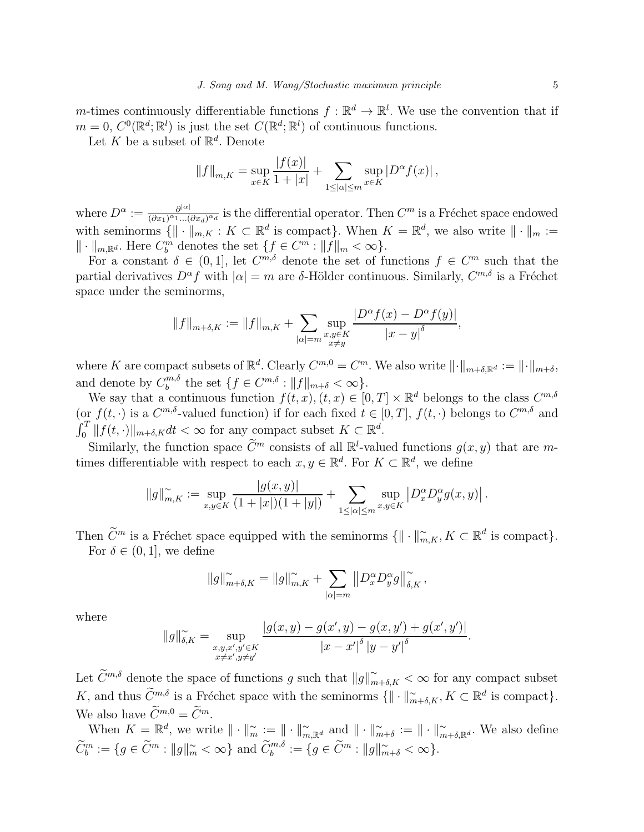m-times continuously differentiable functions  $f: \mathbb{R}^d \to \mathbb{R}^l$ . We use the convention that if  $m = 0, C^{0}(\mathbb{R}^{d}; \mathbb{R}^{l})$  is just the set  $C(\mathbb{R}^{d}; \mathbb{R}^{l})$  of continuous functions.

Let K be a subset of  $\mathbb{R}^d$ . Denote

$$
||f||_{m,K} = \sup_{x \in K} \frac{|f(x)|}{1+|x|} + \sum_{1 \leq |\alpha| \leq m} \sup_{x \in K} |D^{\alpha} f(x)|,
$$

where  $D^{\alpha} := \frac{\partial^{|\alpha|}}{(\partial x_1)^{\alpha_1}}$  $\frac{\partial^{|\alpha|}}{(\partial x_1)^{\alpha_1}...\hat{(\partial x_d)^{\alpha_d}}}$  is the differential operator. Then  $C^m$  is a Fréchet space endowed with seminorms  $\{ \| \cdot \|_{m,K} : K \subset \mathbb{R}^d \text{ is compact} \}.$  When  $K = \mathbb{R}^d$ , we also write  $\| \cdot \|_m :=$  $\|\cdot\|_{m,\mathbb{R}^d}$ . Here  $C_b^m$  denotes the set  $\{f \in C^m : \|f\|_m < \infty\}$ .

For a constant  $\delta \in (0,1]$ , let  $C^{m,\delta}$  denote the set of functions  $f \in C^m$  such that the partial derivatives  $D^{\alpha} f$  with  $|\alpha| = m$  are δ-Hölder continuous. Similarly,  $C^{m,\delta}$  is a Fréchet space under the seminorms,

$$
||f||_{m+\delta,K} := ||f||_{m,K} + \sum_{|\alpha|=m} \sup_{\substack{x,y \in K \\ x \neq y}} \frac{|D^{\alpha}f(x) - D^{\alpha}f(y)|}{|x - y|^{\delta}},
$$

where K are compact subsets of  $\mathbb{R}^d$ . Clearly  $C^{m,0} = C^m$ . We also write  $\|\cdot\|_{m+\delta,\mathbb{R}^d} := \|\cdot\|_{m+\delta}$ , and denote by  $C_b^{m,\delta}$  $\int_b^{m,\delta}$  the set  $\{f \in C^{m,\delta} : ||f||_{m+\delta} < \infty\}.$ 

We say that a continuous function  $f(t, x), (t, x) \in [0, T] \times \mathbb{R}^d$  belongs to the class  $C^{m, \delta}$ (or  $f(t, \cdot)$  is a  $C^{m,\delta}$ -valued function) if for each fixed  $t \in [0,T]$ ,  $f(t, \cdot)$  belongs to  $C^{m,\delta}$  and  $\int_0^T ||f(t, \cdot)||_{m+\delta,K} dt < \infty$  for any compact subset  $K \subset \mathbb{R}^d$ .

Similarly, the function space  $\tilde{C}^m$  consists of all  $\mathbb{R}^l$ -valued functions  $g(x, y)$  that are mtimes differentiable with respect to each  $x, y \in \mathbb{R}^d$ . For  $K \subset \mathbb{R}^d$ , we define

$$
||g||_{m,K}^{\sim} := \sup_{x,y \in K} \frac{|g(x,y)|}{(1+|x|)(1+|y|)} + \sum_{1 \leq |\alpha| \leq m} \sup_{x,y \in K} |D_x^{\alpha} D_y^{\alpha} g(x,y)|.
$$

Then  $\widetilde{C}^m$  is a Fréchet space equipped with the seminorms  $\{ \| \cdot \|_{m,K}^{\sim}, K \subset \mathbb{R}^d \text{ is compact} \}.$ 

For  $\delta \in (0, 1]$ , we define

$$
||g||_{m+\delta,K}^{\sim} = ||g||_{m,K}^{\sim} + \sum_{|\alpha|=m} ||D_x^{\alpha} D_y^{\alpha} g||_{\delta,K}^{\sim},
$$

where

$$
||g||_{\delta,K}^{\sim} = \sup_{\substack{x,y,x',y'\in K \\ x\neq x',y\neq y'}} \frac{|g(x,y) - g(x',y) - g(x,y') + g(x',y')|}{|x - x'|^{\delta} |y - y'|^{\delta}}.
$$

Let  $\widetilde{C}^{m,\delta}$  denote the space of functions g such that  $||g||_{m+\delta,K}^{\sim} < \infty$  for any compact subset K, and thus  $\widetilde{C}^{m,\delta}$  is a Fréchet space with the seminorms  $\{ \| \cdot \|_{m+\delta,K}^{\sim}, K \subset \mathbb{R}^d \text{ is compact} \}.$ We also have  $\widetilde{C}^{m,0} = \widetilde{C}^m$ 

When  $K = \mathbb{R}^d$ , we write  $\|\cdot\|_{m}^{\sim} := \|\cdot\|_{m,\mathbb{R}^d}^{\sim}$  and  $\|\cdot\|_{m+\delta}^{\sim} := \|\cdot\|_{m+\delta,\mathbb{R}^d}^{\sim}$ . We also define  $\widetilde{C}_b^m := \{ g \in \widetilde{C}^m : ||g||_m^{\sim} < \infty \}$  and  $\widetilde{C}_b^{m,\delta} := \{ g \in \widetilde{C}^m : ||g||_{m+\delta}^{\sim} < \infty \}.$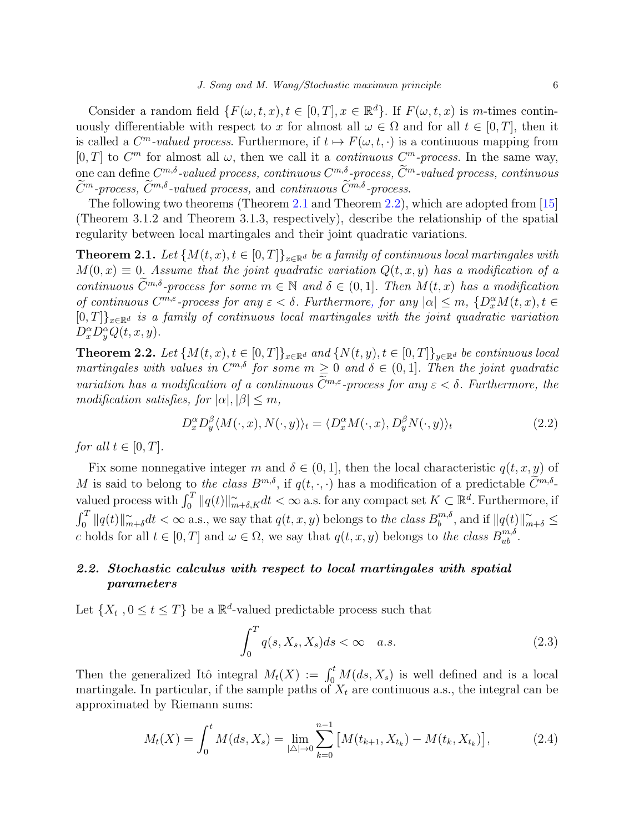Consider a random field  $\{F(\omega, t, x), t \in [0, T], x \in \mathbb{R}^d\}$ . If  $F(\omega, t, x)$  is m-times continuously differentiable with respect to x for almost all  $\omega \in \Omega$  and for all  $t \in [0, T]$ , then it is called a  $C^m$ -valued process. Furthermore, if  $t \mapsto F(\omega, t, \cdot)$  is a continuous mapping from  $[0, T]$  to  $C<sup>m</sup>$  for almost all  $\omega$ , then we call it a *continuous*  $C<sup>m</sup>$ -process. In the same way,  $\lim_{n\to\infty} \cos C^{m,\delta}\text{-valued process, continuous } C^{m,\delta}\text{-process, }\widetilde{C}^m\text{-valued process, continuous}\Big|_{\widetilde{C}^m,\delta}$  $\widetilde{C}^m$ -process,  $\widetilde{C}^{m,\delta}$ -valued process, and continuous  $\widetilde{C}^{m,\delta}$ -process.

The following two theorems (Theorem [2.1](#page-5-1) and Theorem [2.2\)](#page-5-2), which are adopted from [\[15\]](#page-26-0) (Theorem 3.1.2 and Theorem 3.1.3, respectively), describe the relationship of the spatial regularity between local martingales and their joint quadratic variations.

<span id="page-5-1"></span>**Theorem 2.1.** Let  $\{M(t, x), t \in [0, T]\}_{x \in \mathbb{R}^d}$  be a family of continuous local martingales with  $M(0, x) \equiv 0$ . Assume that the joint quadratic variation  $Q(t, x, y)$  has a modification of a continuous  $\widetilde{C}^{m,\delta}$ -process for some  $m \in \mathbb{N}$  and  $\delta \in (0,1]$ . Then  $M(t,x)$  has a modification of continuous  $C^{m,\varepsilon}$ -process for any  $\varepsilon < \delta$ . Furthermore, for any  $|\alpha| \leq m$ ,  $\{D_x^{\alpha}M(t,x), t \in$  $[0, T]_{x \in \mathbb{R}^d}$  is a family of continuous local martingales with the joint quadratic variation  $D_x^{\alpha}D_y^{\alpha}Q(t, x, y).$ 

<span id="page-5-2"></span>**Theorem 2.2.** Let  $\{M(t, x), t \in [0, T]\}_{x \in \mathbb{R}^d}$  and  $\{N(t, y), t \in [0, T]\}_{y \in \mathbb{R}^d}$  be continuous local martingales with values in  $C^{m,\delta}$  for some  $m \geq 0$  and  $\delta \in (0,1]$ . Then the joint quadratic variation has a modification of a continuous  $\widetilde{C}^{m,\varepsilon}$ -process for any  $\varepsilon < \delta$ . Furthermore, the modification satisfies, for  $|\alpha|, |\beta| \leq m$ ,

$$
D_x^{\alpha} D_y^{\beta} \langle M(\cdot, x), N(\cdot, y) \rangle_t = \langle D_x^{\alpha} M(\cdot, x), D_y^{\beta} N(\cdot, y) \rangle_t \tag{2.2}
$$

for all  $t \in [0, T]$ .

Fix some nonnegative integer m and  $\delta \in (0,1]$ , then the local characteristic  $q(t, x, y)$  of M is said to belong to the class  $B^{m,\delta}$ , if  $q(t, \cdot, \cdot)$  has a modification of a predictable  $\widetilde{C}^{m,\delta}$ valued process with  $\int_0^T \|q(t)\|_{m+\delta,K}^{\infty} dt < \infty$  a.s. for any compact set  $K \subset \mathbb{R}^d$ . Furthermore, if  $\int_0^T \|q(t)\|_m^{\sim}$  $\widetilde{m} + \delta dt < \infty$  a.s., we say that  $q(t, x, y)$  belongs to the class  $B_{b}^{m, \delta}$  $\int_b^{m,\delta}$ , and if  $||q(t)||_{m+\delta}^{\sim} \leq$ c holds for all  $t \in [0, T]$  and  $\omega \in \Omega$ , we say that  $q(t, x, y)$  belongs to the class  $B_{ub}^{m, \delta}$ .

# <span id="page-5-0"></span>2.2. Stochastic calculus with respect to local martingales with spatial parameters

Let  $\{X_t, 0 \le t \le T\}$  be a  $\mathbb{R}^d$ -valued predictable process such that

<span id="page-5-3"></span>
$$
\int_0^T q(s, X_s, X_s) ds < \infty \quad a.s.
$$
\n(2.3)

Then the generalized Itô integral  $M_t(X) := \int_0^t M(ds, X_s)$  is well defined and is a local martingale. In particular, if the sample paths of  $X_t$  are continuous a.s., the integral can be approximated by Riemann sums:

$$
M_t(X) = \int_0^t M(ds, X_s) = \lim_{|\Delta| \to 0} \sum_{k=0}^{n-1} \left[ M(t_{k+1}, X_{t_k}) - M(t_k, X_{t_k}) \right],\tag{2.4}
$$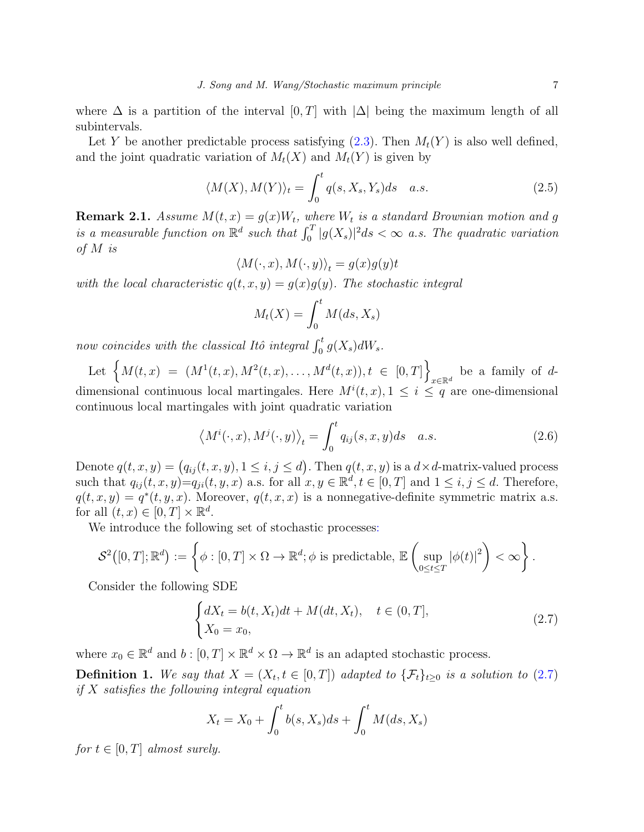where  $\Delta$  is a partition of the interval  $[0, T]$  with  $|\Delta|$  being the maximum length of all subintervals.

Let Y be another predictable process satisfying  $(2.3)$ . Then  $M_t(Y)$  is also well defined, and the joint quadratic variation of  $M_t(X)$  and  $M_t(Y)$  is given by

$$
\langle M(X), M(Y) \rangle_t = \int_0^t q(s, X_s, Y_s) ds \quad a.s. \tag{2.5}
$$

**Remark 2.1.** Assume  $M(t, x) = g(x)W_t$ , where  $W_t$  is a standard Brownian motion and g is a measurable function on  $\mathbb{R}^d$  such that  $\int_0^T |g(X_s)|^2 ds < \infty$  a.s. The quadratic variation of M is

$$
\langle M(\cdot, x), M(\cdot, y) \rangle_t = g(x)g(y)t
$$

with the local characteristic  $q(t, x, y) = g(x)g(y)$ . The stochastic integral

$$
M_t(X) = \int_0^t M(ds, X_s)
$$

now coincides with the classical Itô integral  $\int_0^t g(X_s) dW_s$ .

Let  $\left\{ M(t,x) = (M^1(t,x), M^2(t,x), \ldots, M^d(t,x)), t \in [0,T] \right\}$  $x \in \mathbb{R}^d$  be a family of  $d$ dimensional continuous local martingales. Here  $M^{i}(t, x), 1 \leq i \leq q$  are one-dimensional continuous local martingales with joint quadratic variation

$$
\langle M^{i}(\cdot,x), M^{j}(\cdot,y)\rangle_{t} = \int_{0}^{t} q_{ij}(s,x,y)ds \quad a.s.
$$
\n(2.6)

Denote  $q(t, x, y) = (q_{ij}(t, x, y), 1 \le i, j \le d)$ . Then  $q(t, x, y)$  is a  $d \times d$ -matrix-valued process such that  $q_{ij}(t, x, y) = q_{ji}(t, y, x)$  a.s. for all  $x, y \in \mathbb{R}^d, t \in [0, T]$  and  $1 \le i, j \le d$ . Therefore,  $q(t, x, y) = q^*(t, y, x)$ . Moreover,  $q(t, x, x)$  is a nonnegative-definite symmetric matrix a.s. for all  $(t, x) \in [0, T] \times \mathbb{R}^d$ .

We introduce the following set of stochastic processes:

$$
\mathcal{S}^2([0,T];\mathbb{R}^d):=\left\{\phi:[0,T]\times\Omega\to\mathbb{R}^d;\phi\text{ is predictable, }\mathbb{E}\left(\sup_{0\leq t\leq T}|\phi(t)|^2\right)<\infty\right\}.
$$

Consider the following SDE

<span id="page-6-0"></span>
$$
\begin{cases} dX_t = b(t, X_t)dt + M(dt, X_t), & t \in (0, T], \\ X_0 = x_0, \end{cases}
$$
\n(2.7)

where  $x_0 \in \mathbb{R}^d$  and  $b: [0, T] \times \mathbb{R}^d \times \Omega \to \mathbb{R}^d$  is an adapted stochastic process.

**Definition 1.** We say that  $X = (X_t, t \in [0,T])$  adapted to  $\{\mathcal{F}_t\}_{t \geq 0}$  is a solution to  $(2.7)$ if X satisfies the following integral equation

$$
X_t = X_0 + \int_0^t b(s, X_s)ds + \int_0^t M(ds, X_s)
$$

for  $t \in [0, T]$  almost surely.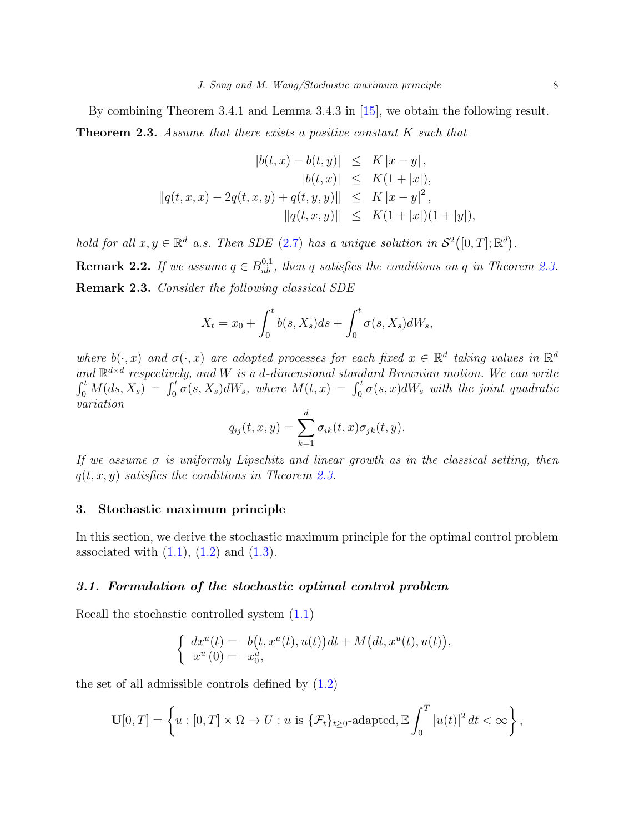By combining Theorem 3.4.1 and Lemma 3.4.3 in [\[15\]](#page-26-0), we obtain the following result.

<span id="page-7-2"></span>**Theorem 2.3.** Assume that there exists a positive constant K such that

$$
|b(t, x) - b(t, y)| \leq K |x - y|,
$$
  
\n
$$
|b(t, x)| \leq K(1 + |x|),
$$
  
\n
$$
||q(t, x, x) - 2q(t, x, y) + q(t, y, y)|| \leq K |x - y|^2,
$$
  
\n
$$
||q(t, x, y)|| \leq K(1 + |x|)(1 + |y|),
$$

<span id="page-7-3"></span>hold for all  $x, y \in \mathbb{R}^d$  a.s. Then SDE [\(2.7\)](#page-6-0) has a unique solution in  $\mathcal{S}^2([0,T]; \mathbb{R}^d)$ . **Remark 2.2.** If we assume  $q \in B_{ub}^{0,1}$ , then q satisfies the conditions on q in Theorem [2.3.](#page-7-2) Remark 2.3. Consider the following classical SDE

$$
X_t = x_0 + \int_0^t b(s, X_s)ds + \int_0^t \sigma(s, X_s)dW_s,
$$

where  $b(\cdot, x)$  and  $\sigma(\cdot, x)$  are adapted processes for each fixed  $x \in \mathbb{R}^d$  taking values in  $\mathbb{R}^d$ and  $\mathbb{R}^{d \times d}$  respectively, and W is a d-dimensional standard Brownian motion. We can write  $\int_0^t M(ds, X_s) = \int_0^t \sigma(s, X_s) dW_s$ , where  $M(t, x) = \int_0^t \sigma(s, x) dW_s$  with the joint quadratic variation

$$
q_{ij}(t, x, y) = \sum_{k=1}^{d} \sigma_{ik}(t, x) \sigma_{jk}(t, y).
$$

If we assume  $\sigma$  is uniformly Lipschitz and linear growth as in the classical setting, then  $q(t, x, y)$  satisfies the conditions in Theorem [2.3.](#page-7-2)

### <span id="page-7-0"></span>3. Stochastic maximum principle

In this section, we derive the stochastic maximum principle for the optimal control problem associated with  $(1.1)$ ,  $(1.2)$  and  $(1.3)$ .

### <span id="page-7-1"></span>3.1. Formulation of the stochastic optimal control problem

Recall the stochastic controlled system [\(1.1\)](#page-1-0)

$$
\begin{cases}\n dx^u(t) = b(t, x^u(t), u(t))dt + M(dt, x^u(t), u(t)), \\
 x^u(0) = x_0^u,\n\end{cases}
$$

the set of all admissible controls defined by  $(1.2)$ 

$$
\mathbf{U}[0,T] = \left\{ u : [0,T] \times \Omega \to U : u \text{ is } \{ \mathcal{F}_t \}_{t \geq 0} \text{-adapted}, \mathbb{E} \int_0^T |u(t)|^2 dt < \infty \right\},\
$$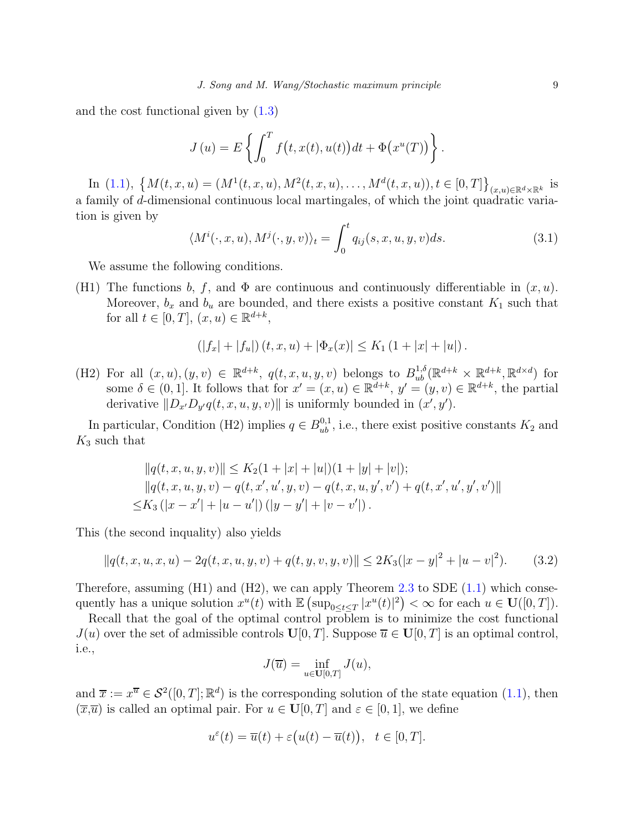and the cost functional given by [\(1.3\)](#page-1-1)

$$
J(u) = E\left\{\int_0^T f(t, x(t), u(t))dt + \Phi(x^u(T))\right\}.
$$

In [\(1.1\)](#page-1-0),  $\{M(t,x,u) = (M^1(t,x,u), M^2(t,x,u), \ldots, M^d(t,x,u)), t \in [0,T]\}_{(x,u)\in \mathbb{R}^d \times \mathbb{R}^k}$  is a family of d-dimensional continuous local martingales, of which the joint quadratic variation is given by

<span id="page-8-1"></span>
$$
\langle M^i(\cdot, x, u), M^j(\cdot, y, v) \rangle_t = \int_0^t q_{ij}(s, x, u, y, v) ds. \tag{3.1}
$$

We assume the following conditions.

(H1) The functions b, f, and  $\Phi$  are continuous and continuously differentiable in  $(x, u)$ . Moreover,  $b_x$  and  $b_u$  are bounded, and there exists a positive constant  $K_1$  such that for all  $t \in [0, T], (x, u) \in \mathbb{R}^{d+k}$ ,

$$
(|f_x| + |f_u|)(t, x, u) + |\Phi_x(x)| \le K_1 (1 + |x| + |u|).
$$

(H2) For all  $(x, u), (y, v) \in \mathbb{R}^{d+k}$ ,  $q(t, x, u, y, v)$  belongs to  $B_{ub}^{1,\delta}(\mathbb{R}^{d+k} \times \mathbb{R}^{d+k}, \mathbb{R}^{d \times d})$  for some  $\delta \in (0,1]$ . It follows that for  $x' = (x, u) \in \mathbb{R}^{d+k}$ ,  $y' = (y, v) \in \mathbb{R}^{d+k}$ , the partial derivative  $||D_{x'}D_{y'}q(t, x, u, y, v)||$  is uniformly bounded in  $(x', y')$ .

In particular, Condition (H2) implies  $q \in B_{ub}^{0,1}$ , i.e., there exist positive constants  $K_2$  and  $K_3$  such that

$$
||q(t, x, u, y, v)|| \le K_2(1 + |x| + |u|)(1 + |y| + |v|);
$$
  
\n
$$
||q(t, x, u, y, v) - q(t, x', u', y, v) - q(t, x, u, y', v') + q(t, x', u', y', v')||
$$
  
\n
$$
\le K_3 (|x - x'| + |u - u'|) (|y - y'| + |v - v'|).
$$

This (the second inquality) also yields

<span id="page-8-0"></span>
$$
||q(t, x, u, x, u) - 2q(t, x, u, y, v) + q(t, y, v, y, v)|| \le 2K_3(|x - y|^2 + |u - v|^2). \tag{3.2}
$$

Therefore, assuming  $(H1)$  and  $(H2)$ , we can apply Theorem [2.3](#page-7-2) to SDE  $(1.1)$  which consequently has a unique solution  $x^u(t)$  with  $\mathbb{E} \left( \sup_{0 \le t \le T} |x^u(t)|^2 \right) < \infty$  for each  $u \in \mathbf{U}([0,T])$ .

Recall that the goal of the optimal control problem is to minimize the cost functional  $J(u)$  over the set of admissible controls  $\mathbf{U}[0,T]$ . Suppose  $\overline{u} \in \mathbf{U}[0,T]$  is an optimal control, i.e.,

$$
J(\overline{u}) = \inf_{u \in \mathbf{U}[0,T]} J(u),
$$

and  $\overline{x} := x^{\overline{u}} \in \mathcal{S}^2([0,T];\mathbb{R}^d)$  is the corresponding solution of the state equation  $(1.1)$ , then  $(\overline{x},\overline{u})$  is called an optimal pair. For  $u \in \mathbf{U}[0,T]$  and  $\varepsilon \in [0,1]$ , we define

$$
u^{\varepsilon}(t) = \overline{u}(t) + \varepsilon \big(u(t) - \overline{u}(t)\big), \quad t \in [0, T].
$$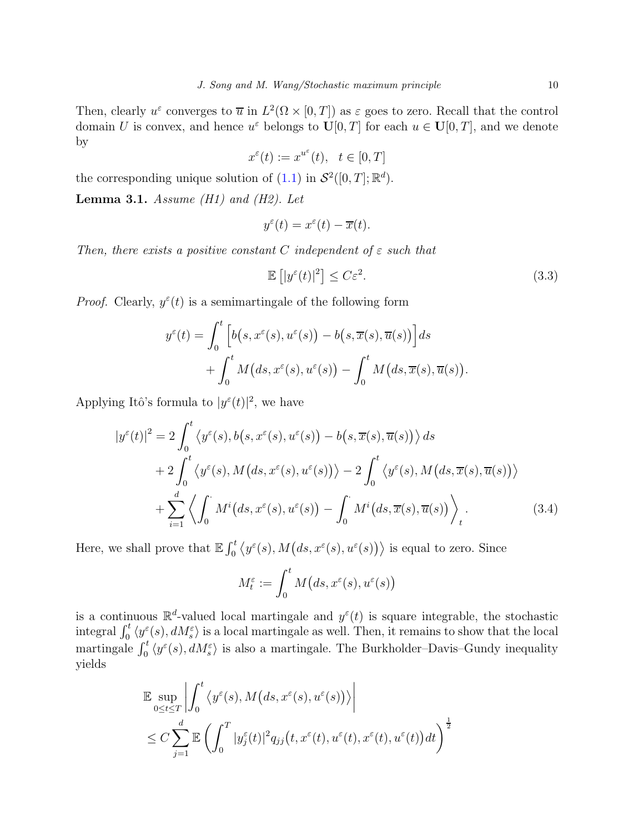Then, clearly  $u^{\varepsilon}$  converges to  $\overline{u}$  in  $L^2(\Omega \times [0,T])$  as  $\varepsilon$  goes to zero. Recall that the control domain U is convex, and hence  $u^{\varepsilon}$  belongs to  $\mathbf{U}[0,T]$  for each  $u \in \mathbf{U}[0,T]$ , and we denote by

$$
x^{\varepsilon}(t) := x^{u^{\varepsilon}}(t), \quad t \in [0, T]
$$

the corresponding unique solution of  $(1.1)$  in  $\mathcal{S}^2([0,T];\mathbb{R}^d)$ .

**Lemma 3.1.** Assume (H1) and (H2). Let

$$
y^{\varepsilon}(t) = x^{\varepsilon}(t) - \overline{x}(t).
$$

Then, there exists a positive constant C independent of  $\varepsilon$  such that

<span id="page-9-1"></span>
$$
\mathbb{E}\left[|y^{\varepsilon}(t)|^{2}\right] \leq C\varepsilon^{2}.\tag{3.3}
$$

<span id="page-9-0"></span>.

*Proof.* Clearly,  $y^{\varepsilon}(t)$  is a semimartingale of the following form

$$
y^{\varepsilon}(t) = \int_0^t \left[ b(s, x^{\varepsilon}(s), u^{\varepsilon}(s)) - b(s, \overline{x}(s), \overline{u}(s)) \right] ds
$$
  
+ 
$$
\int_0^t M(ds, x^{\varepsilon}(s), u^{\varepsilon}(s)) - \int_0^t M(ds, \overline{x}(s), \overline{u}(s))
$$

Applying Itô's formula to  $|y^{\varepsilon}(t)|^2$ , we have

$$
|y^{\varepsilon}(t)|^{2} = 2\int_{0}^{t} \left\langle y^{\varepsilon}(s), b(s, x^{\varepsilon}(s), u^{\varepsilon}(s)) - b(s, \overline{x}(s), \overline{u}(s)) \right\rangle ds
$$
  
+ 
$$
2\int_{0}^{t} \left\langle y^{\varepsilon}(s), M(ds, x^{\varepsilon}(s), u^{\varepsilon}(s)) \right\rangle - 2\int_{0}^{t} \left\langle y^{\varepsilon}(s), M(ds, \overline{x}(s), \overline{u}(s)) \right\rangle
$$
  
+ 
$$
\sum_{i=1}^{d} \left\langle \int_{0}^{s} M^{i}(ds, x^{\varepsilon}(s), u^{\varepsilon}(s)) - \int_{0}^{s} M^{i}(ds, \overline{x}(s), \overline{u}(s)) \right\rangle_{t}.
$$
 (3.4)

Here, we shall prove that  $\mathbb{E} \int_0^t \langle y^\varepsilon(s), M(ds, x^\varepsilon(s), u^\varepsilon(s)) \rangle$  is equal to zero. Since

$$
M_t^{\varepsilon} := \int_0^t M\big(ds, x^{\varepsilon}(s), u^{\varepsilon}(s)\big)
$$

is a continuous  $\mathbb{R}^d$ -valued local martingale and  $y^{\varepsilon}(t)$  is square integrable, the stochastic integral  $\int_0^t \langle y^{\varepsilon}(s), dM_s^{\varepsilon} \rangle$  is a local martingale as well. Then, it remains to show that the local martingale  $\int_0^t \langle y^\varepsilon(s), dM_s^\varepsilon \rangle$  is also a martingale. The Burkholder–Davis–Gundy inequality yields

$$
\mathbb{E} \sup_{0 \le t \le T} \left| \int_0^t \left\langle y^{\varepsilon}(s), M\left(ds, x^{\varepsilon}(s), u^{\varepsilon}(s)) \right\rangle \right|
$$
  
\n
$$
\le C \sum_{j=1}^d \mathbb{E} \left( \int_0^T |y^{\varepsilon}_j(t)|^2 q_{jj}(t, x^{\varepsilon}(t), u^{\varepsilon}(t), x^{\varepsilon}(t), u^{\varepsilon}(t)) dt \right)^{\frac{1}{2}}
$$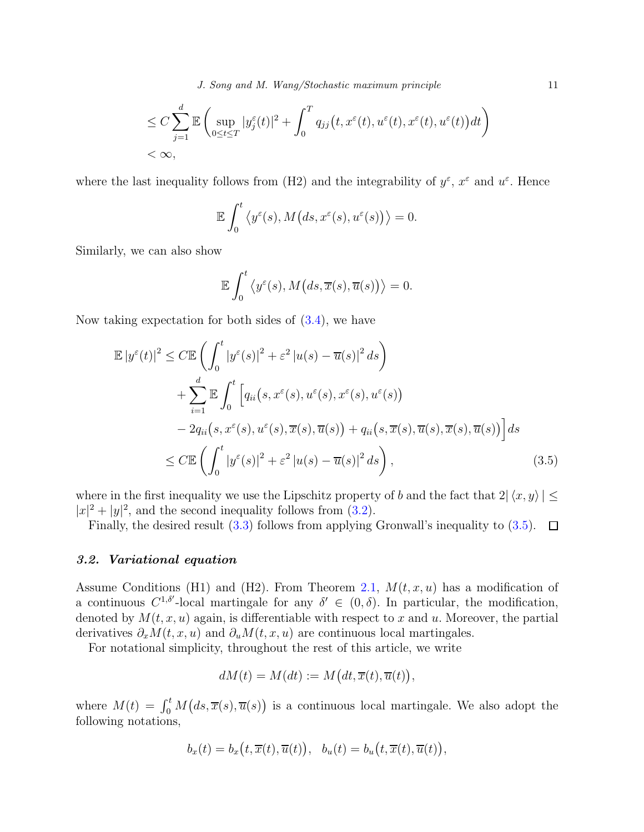J. Song and M. Wang/Stochastic maximum principle 11

$$
\leq C \sum_{j=1}^{d} \mathbb{E} \left( \sup_{0 \leq t \leq T} |y_j^{\varepsilon}(t)|^2 + \int_0^T q_{jj}(t, x^{\varepsilon}(t), u^{\varepsilon}(t), x^{\varepsilon}(t), u^{\varepsilon}(t)) dt \right) < \infty,
$$

where the last inequality follows from (H2) and the integrability of  $y^{\varepsilon}$ ,  $x^{\varepsilon}$  and  $u^{\varepsilon}$ . Hence

$$
\mathbb{E}\int_0^t \left\langle y^{\varepsilon}(s), M\big(ds, x^{\varepsilon}(s), u^{\varepsilon}(s)\big)\right\rangle = 0.
$$

Similarly, we can also show

<span id="page-10-1"></span>
$$
\mathbb{E}\int_0^t \left\langle y^{\varepsilon}(s), M\big(ds, \overline{x}(s), \overline{u}(s)\big)\right\rangle = 0.
$$

Now taking expectation for both sides of  $(3.4)$ , we have

$$
\mathbb{E}|y^{\varepsilon}(t)|^{2} \leq C \mathbb{E}\left(\int_{0}^{t}|y^{\varepsilon}(s)|^{2}+\varepsilon^{2}|u(s)-\overline{u}(s)|^{2} ds\right) \n+ \sum_{i=1}^{d} \mathbb{E}\int_{0}^{t}\left[q_{ii}(s,x^{\varepsilon}(s),u^{\varepsilon}(s),x^{\varepsilon}(s),u^{\varepsilon}(s))\right] \n- 2q_{ii}(s,x^{\varepsilon}(s),u^{\varepsilon}(s),\overline{x}(s),\overline{u}(s)) + q_{ii}(s,\overline{x}(s),\overline{u}(s),\overline{x}(s),\overline{u}(s))\right] ds \n\leq C \mathbb{E}\left(\int_{0}^{t}|y^{\varepsilon}(s)|^{2}+\varepsilon^{2}|u(s)-\overline{u}(s)|^{2} ds\right),
$$
\n(3.5)

where in the first inequality we use the Lipschitz property of b and the fact that  $2 | \langle x, y \rangle | \le$  $|x|^2 + |y|^2$ , and the second inequality follows from [\(3.2\)](#page-8-0).

Finally, the desired result [\(3.3\)](#page-9-1) follows from applying Gronwall's inequality to [\(3.5\)](#page-10-1).  $\Box$ 

### <span id="page-10-0"></span>3.2. Variational equation

Assume Conditions (H1) and (H2). From Theorem [2.1,](#page-5-1)  $M(t, x, u)$  has a modification of a continuous  $C^{1,\delta'}$ -local martingale for any  $\delta' \in (0,\delta)$ . In particular, the modification, denoted by  $M(t, x, u)$  again, is differentiable with respect to x and u. Moreover, the partial derivatives  $\partial_x M(t, x, u)$  and  $\partial_u M(t, x, u)$  are continuous local martingales.

For notational simplicity, throughout the rest of this article, we write

$$
dM(t) = M(dt) := M\big(dt, \overline{x}(t), \overline{u}(t)\big),
$$

where  $M(t) = \int_0^t M(ds, \overline{x}(s), \overline{u}(s))$  is a continuous local martingale. We also adopt the following notations,

$$
b_x(t) = b_x(t, \overline{x}(t), \overline{u}(t)), \ \ b_u(t) = b_u(t, \overline{x}(t), \overline{u}(t)),
$$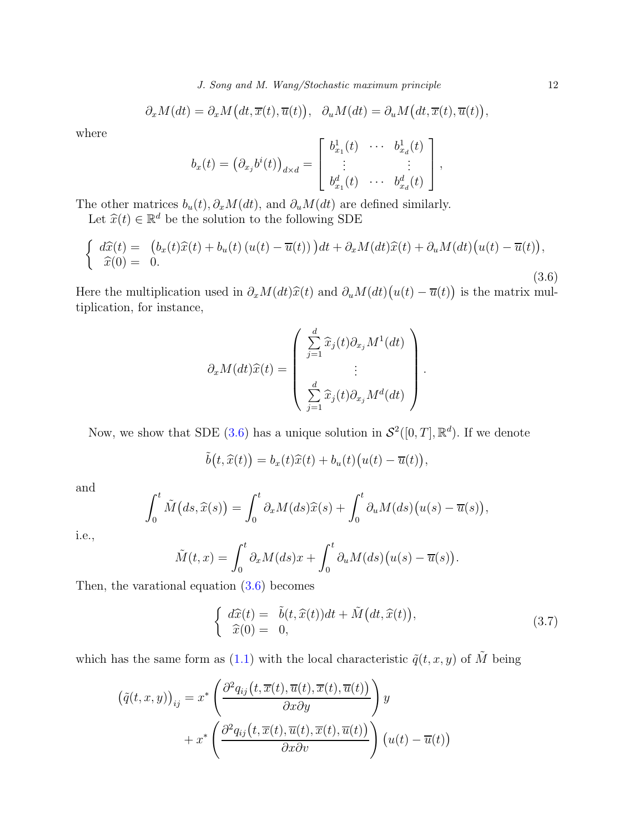$$
\partial_x M(dt) = \partial_x M\big(dt, \overline{x}(t), \overline{u}(t)\big), \quad \partial_u M(dt) = \partial_u M\big(dt, \overline{x}(t), \overline{u}(t)\big),
$$

where

$$
b_x(t) = \left(\partial_{x_j}b^i(t)\right)_{d\times d} = \begin{bmatrix} b_{x_1}^1(t) & \cdots & b_{x_d}^1(t) \\ \vdots & & \vdots \\ b_{x_1}^d(t) & \cdots & b_{x_d}^d(t) \end{bmatrix},
$$

The other matrices  $b_u(t), \partial_x M(dt)$ , and  $\partial_u M(dt)$  are defined similarly.

Let  $\widehat{x}(t) \in \mathbb{R}^d$  be the solution to the following SDE

<span id="page-11-0"></span>
$$
\begin{cases}\n\frac{d\widehat{x}(t)}{\widehat{x}(0)} = \left(b_x(t)\widehat{x}(t) + b_u(t)\left(u(t) - \overline{u}(t)\right)\right)dt + \partial_x M(dt)\widehat{x}(t) + \partial_u M(dt)\left(u(t) - \overline{u}(t)\right), \\
\widehat{x}(0) = 0.\n\end{cases} \tag{3.6}
$$

Here the multiplication used in  $\partial_x M(dt) \hat{x}(t)$  and  $\partial_u M(dt) (u(t) - \overline{u}(t))$  is the matrix multiplication for instance tiplication, for instance,

$$
\partial_x M(dt) \hat{x}(t) = \begin{pmatrix} \frac{d}{j-1} \hat{x}_j(t) \partial_{x_j} M^1(dt) \\ \vdots \\ \frac{d}{j-1} \hat{x}_j(t) \partial_{x_j} M^d(dt) \end{pmatrix}.
$$

Now, we show that SDE [\(3.6\)](#page-11-0) has a unique solution in  $\mathcal{S}^2([0,T],\mathbb{R}^d)$ . If we denote

$$
\tilde{b}(t,\widehat{x}(t)) = b_x(t)\widehat{x}(t) + b_u(t)\big(u(t) - \overline{u}(t)\big),
$$

and

$$
\int_0^t \tilde{M}\big(ds,\widehat{x}(s)\big) = \int_0^t \partial_x M(ds)\widehat{x}(s) + \int_0^t \partial_u M(ds)\big(u(s) - \overline{u}(s)\big),
$$

i.e.,

$$
\tilde{M}(t,x) = \int_0^t \partial_x M(ds) x + \int_0^t \partial_u M(ds) \big( u(s) - \overline{u}(s) \big).
$$

Then, the varational equation [\(3.6\)](#page-11-0) becomes

$$
\begin{cases}\n\frac{d\widehat{x}(t)}{\widehat{x}(0)} = \widetilde{b}(t, \widehat{x}(t))dt + \widetilde{M}\big(dt, \widehat{x}(t)\big), \\
\widehat{x}(0) = 0,\n\end{cases} \tag{3.7}
$$

which has the same form as [\(1.1\)](#page-1-0) with the local characteristic  $\tilde{q}(t, x, y)$  of  $\tilde{M}$  being

$$
(\tilde{q}(t, x, y))_{ij} = x^* \left( \frac{\partial^2 q_{ij}(t, \overline{x}(t), \overline{u}(t), \overline{x}(t), \overline{u}(t))}{\partial x \partial y} \right) y
$$

$$
+ x^* \left( \frac{\partial^2 q_{ij}(t, \overline{x}(t), \overline{u}(t), \overline{x}(t), \overline{u}(t))}{\partial x \partial v} \right) (u(t) - \overline{u}(t))
$$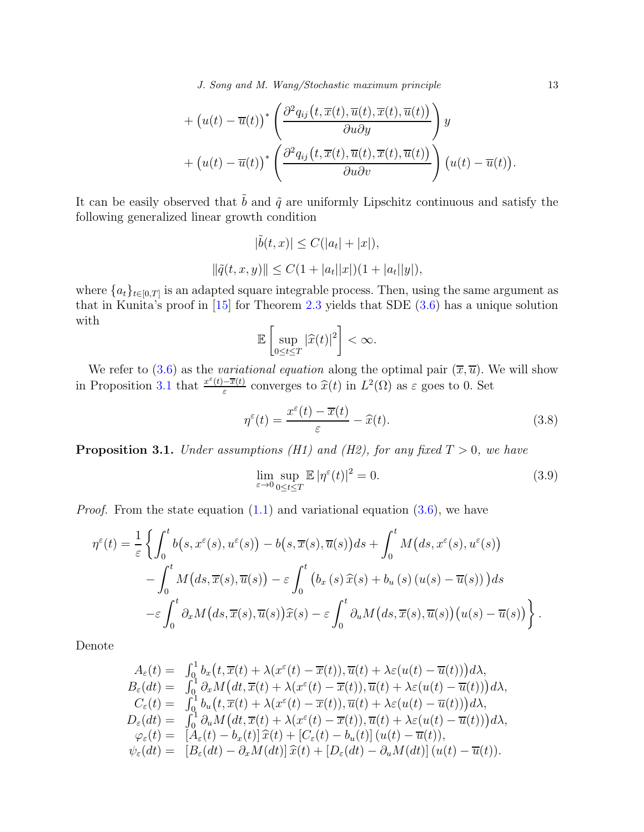J. Song and M. Wang/Stochastic maximum principle 13

+ 
$$
(u(t) - \overline{u}(t))^* \left( \frac{\partial^2 q_{ij}(t, \overline{x}(t), \overline{u}(t), \overline{x}(t), \overline{u}(t))}{\partial u \partial y} \right) y
$$
  
+  $(u(t) - \overline{u}(t))^* \left( \frac{\partial^2 q_{ij}(t, \overline{x}(t), \overline{u}(t), \overline{x}(t), \overline{u}(t))}{\partial u \partial v} \right) (u(t) - \overline{u}(t)).$ 

It can be easily observed that  $\tilde{b}$  and  $\tilde{q}$  are uniformly Lipschitz continuous and satisfy the following generalized linear growth condition

$$
|\tilde{b}(t, x)| \le C(|a_t| + |x|),
$$
  

$$
||\tilde{q}(t, x, y)|| \le C(1 + |a_t||x|)(1 + |a_t||y|),
$$

where  ${a_t}_{t\in[0,T]}$  is an adapted square integrable process. Then, using the same argument as that in Kunita's proof in [\[15\]](#page-26-0) for Theorem [2.3](#page-7-2) yields that SDE [\(3.6\)](#page-11-0) has a unique solution with

$$
\mathbb{E}\left[\sup_{0\leq t\leq T}|\widehat{x}(t)|^2\right]<\infty.
$$

We refer to [\(3.6\)](#page-11-0) as the variational equation along the optimal pair  $(\overline{x}, \overline{u})$ . We will show in Proposition [3.1](#page-12-0) that  $\frac{x^{\varepsilon}(t) - \overline{x}(t)}{\varepsilon}$  $\frac{-\overline{x}(t)}{\varepsilon}$  converges to  $\widehat{x}(t)$  in  $L^2(\Omega)$  as  $\varepsilon$  goes to 0. Set

<span id="page-12-1"></span>
$$
\eta^{\varepsilon}(t) = \frac{x^{\varepsilon}(t) - \overline{x}(t)}{\varepsilon} - \widehat{x}(t). \tag{3.8}
$$

<span id="page-12-0"></span>**Proposition 3.1.** Under assumptions (H1) and (H2), for any fixed  $T > 0$ , we have

$$
\lim_{\varepsilon \to 0} \sup_{0 \le t \le T} \mathbb{E} |\eta^{\varepsilon}(t)|^2 = 0.
$$
\n(3.9)

*Proof.* From the state equation  $(1.1)$  and variational equation  $(3.6)$ , we have

$$
\eta^{\varepsilon}(t) = \frac{1}{\varepsilon} \left\{ \int_{0}^{t} b(s, x^{\varepsilon}(s), u^{\varepsilon}(s)) - b(s, \overline{x}(s), \overline{u}(s)) ds + \int_{0}^{t} M(ds, x^{\varepsilon}(s), u^{\varepsilon}(s)) - \int_{0}^{t} M(ds, \overline{x}(s), \overline{u}(s)) - \varepsilon \int_{0}^{t} (b_x(s) \hat{x}(s) + b_u(s) (u(s) - \overline{u}(s))) ds - \varepsilon \int_{0}^{t} \partial_x M(ds, \overline{x}(s), \overline{u}(s)) \hat{x}(s) - \varepsilon \int_{0}^{t} \partial_u M(ds, \overline{x}(s), \overline{u}(s)) (u(s) - \overline{u}(s)) \right\}.
$$

Denote

$$
A_{\varepsilon}(t) = \int_{0}^{1} b_{x} (t, \overline{x}(t) + \lambda(x^{\varepsilon}(t) - \overline{x}(t)), \overline{u}(t) + \lambda \varepsilon(u(t) - \overline{u}(t))) d\lambda,
$$
  
\n
$$
B_{\varepsilon}(dt) = \int_{0}^{1} \partial_{x} M (dt, \overline{x}(t) + \lambda(x^{\varepsilon}(t) - \overline{x}(t)), \overline{u}(t) + \lambda \varepsilon(u(t) - \overline{u}(t))) d\lambda,
$$
  
\n
$$
C_{\varepsilon}(t) = \int_{0}^{1} b_{u} (t, \overline{x}(t) + \lambda(x^{\varepsilon}(t) - \overline{x}(t)), \overline{u}(t) + \lambda \varepsilon(u(t) - \overline{u}(t))) d\lambda,
$$
  
\n
$$
D_{\varepsilon}(dt) = \int_{0}^{1} \partial_{u} M (dt, \overline{x}(t) + \lambda(x^{\varepsilon}(t) - \overline{x}(t)), \overline{u}(t) + \lambda \varepsilon(u(t) - \overline{u}(t))) d\lambda,
$$
  
\n
$$
\varphi_{\varepsilon}(t) = [A_{\varepsilon}(t) - b_{x}(t)] \widehat{x}(t) + [C_{\varepsilon}(t) - b_{u}(t)] (u(t) - \overline{u}(t)),
$$
  
\n
$$
\psi_{\varepsilon}(dt) = [B_{\varepsilon}(dt) - \partial_{x} M (dt)] \widehat{x}(t) + [D_{\varepsilon}(dt) - \partial_{u} M (dt)] (u(t) - \overline{u}(t)).
$$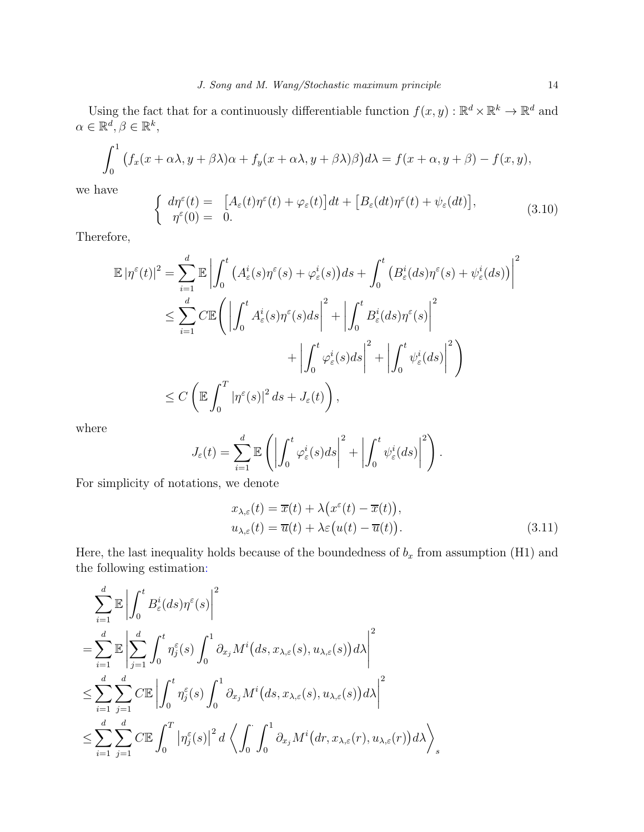Using the fact that for a continuously differentiable function  $f(x, y) : \mathbb{R}^d \times \mathbb{R}^k \to \mathbb{R}^d$  and  $\alpha \in \mathbb{R}^d, \beta \in \mathbb{R}^k$ ,

$$
\int_0^1 (f_x(x+\alpha\lambda, y+\beta\lambda)\alpha + f_y(x+\alpha\lambda, y+\beta\lambda)\beta)d\lambda = f(x+\alpha, y+\beta) - f(x, y),
$$

we have

$$
\begin{cases}\nd\eta^{\varepsilon}(t) = \left[A_{\varepsilon}(t)\eta^{\varepsilon}(t) + \varphi_{\varepsilon}(t)\right]dt + \left[B_{\varepsilon}(dt)\eta^{\varepsilon}(t) + \psi_{\varepsilon}(dt)\right], \\
\eta^{\varepsilon}(0) = 0.\n\end{cases} \tag{3.10}
$$

Therefore,

$$
\mathbb{E} |\eta^{\varepsilon}(t)|^{2} = \sum_{i=1}^{d} \mathbb{E} \left| \int_{0}^{t} \left( A_{\varepsilon}^{i}(s) \eta^{\varepsilon}(s) + \varphi_{\varepsilon}^{i}(s) \right) ds + \int_{0}^{t} \left( B_{\varepsilon}^{i}(ds) \eta^{\varepsilon}(s) + \psi_{\varepsilon}^{i}(ds) \right) \right|^{2}
$$
\n
$$
\leq \sum_{i=1}^{d} C \mathbb{E} \left( \left| \int_{0}^{t} A_{\varepsilon}^{i}(s) \eta^{\varepsilon}(s) ds \right|^{2} + \left| \int_{0}^{t} B_{\varepsilon}^{i}(ds) \eta^{\varepsilon}(s) \right|^{2} + \left| \int_{0}^{t} \psi_{\varepsilon}^{i}(ds) \right|^{2} \right)
$$
\n
$$
\leq C \left( \mathbb{E} \int_{0}^{T} |\eta^{\varepsilon}(s)|^{2} ds + J_{\varepsilon}(t) \right),
$$

where

$$
J_{\varepsilon}(t) = \sum_{i=1}^{d} \mathbb{E} \left( \left| \int_{0}^{t} \varphi_{\varepsilon}^{i}(s) ds \right|^{2} + \left| \int_{0}^{t} \psi_{\varepsilon}^{i}(ds) \right|^{2} \right).
$$

For simplicity of notations, we denote

<span id="page-13-0"></span>
$$
x_{\lambda,\varepsilon}(t) = \overline{x}(t) + \lambda \big(x^{\varepsilon}(t) - \overline{x}(t)\big),
$$
  
\n
$$
u_{\lambda,\varepsilon}(t) = \overline{u}(t) + \lambda \varepsilon \big(u(t) - \overline{u}(t)\big).
$$
\n(3.11)

Here, the last inequality holds because of the boundedness of  $b_x$  from assumption (H1) and the following estimation:

$$
\sum_{i=1}^{d} \mathbb{E} \left| \int_{0}^{t} B_{\varepsilon}^{i}(ds) \eta^{\varepsilon}(s) \right|^{2}
$$
\n
$$
= \sum_{i=1}^{d} \mathbb{E} \left| \sum_{j=1}^{d} \int_{0}^{t} \eta_{j}^{\varepsilon}(s) \int_{0}^{1} \partial_{x_{j}} M^{i}(ds, x_{\lambda, \varepsilon}(s), u_{\lambda, \varepsilon}(s)) d\lambda \right|^{2}
$$
\n
$$
\leq \sum_{i=1}^{d} \sum_{j=1}^{d} C \mathbb{E} \left| \int_{0}^{t} \eta_{j}^{\varepsilon}(s) \int_{0}^{1} \partial_{x_{j}} M^{i}(ds, x_{\lambda, \varepsilon}(s), u_{\lambda, \varepsilon}(s)) d\lambda \right|^{2}
$$
\n
$$
\leq \sum_{i=1}^{d} \sum_{j=1}^{d} C \mathbb{E} \int_{0}^{T} |\eta_{j}^{\varepsilon}(s)|^{2} d\left\langle \int_{0}^{1} \int_{0}^{1} \partial_{x_{j}} M^{i}(dr, x_{\lambda, \varepsilon}(r), u_{\lambda, \varepsilon}(r)) d\lambda \right\rangle_{s}
$$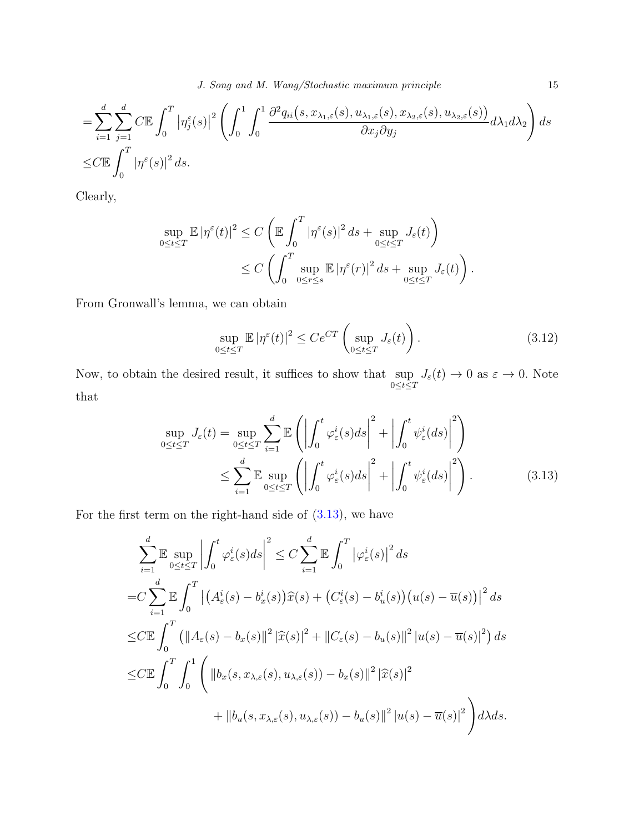$$
= \sum_{i=1}^{d} \sum_{j=1}^{d} C \mathbb{E} \int_{0}^{T} |\eta_{j}^{\varepsilon}(s)|^{2} \left( \int_{0}^{1} \int_{0}^{1} \frac{\partial^{2} q_{ii}(s, x_{\lambda_{1},\varepsilon}(s), u_{\lambda_{1},\varepsilon}(s), x_{\lambda_{2},\varepsilon}(s), u_{\lambda_{2},\varepsilon}(s))}{\partial x_{j} \partial y_{j}} d\lambda_{1} d\lambda_{2} \right) ds
$$
  

$$
\leq C \mathbb{E} \int_{0}^{T} |\eta^{\varepsilon}(s)|^{2} ds.
$$

Clearly,

$$
\sup_{0 \le t \le T} \mathbb{E} |\eta^{\varepsilon}(t)|^2 \le C \left( \mathbb{E} \int_0^T |\eta^{\varepsilon}(s)|^2 ds + \sup_{0 \le t \le T} J_{\varepsilon}(t) \right)
$$
  

$$
\le C \left( \int_0^T \sup_{0 \le r \le s} \mathbb{E} |\eta^{\varepsilon}(r)|^2 ds + \sup_{0 \le t \le T} J_{\varepsilon}(t) \right).
$$

From Gronwall's lemma, we can obtain

<span id="page-14-0"></span>
$$
\sup_{0 \le t \le T} \mathbb{E} |\eta^{\varepsilon}(t)|^2 \le C e^{CT} \left( \sup_{0 \le t \le T} J_{\varepsilon}(t) \right). \tag{3.12}
$$

Now, to obtain the desired result, it suffices to show that sup  $0 \leq t \leq T$  $J_{\varepsilon}(t) \to 0$  as  $\varepsilon \to 0$ . Note that

$$
\sup_{0 \le t \le T} J_{\varepsilon}(t) = \sup_{0 \le t \le T} \sum_{i=1}^{d} \mathbb{E} \left( \left| \int_{0}^{t} \varphi_{\varepsilon}^{i}(s) ds \right|^{2} + \left| \int_{0}^{t} \psi_{\varepsilon}^{i}(ds) \right|^{2} \right)
$$
  

$$
\le \sum_{i=1}^{d} \mathbb{E} \sup_{0 \le t \le T} \left( \left| \int_{0}^{t} \varphi_{\varepsilon}^{i}(s) ds \right|^{2} + \left| \int_{0}^{t} \psi_{\varepsilon}^{i}(ds) \right|^{2} \right). \tag{3.13}
$$

For the first term on the right-hand side of  $(3.13)$ , we have

$$
\sum_{i=1}^{d} \mathbb{E} \sup_{0 \le t \le T} \left| \int_{0}^{t} \varphi_{\varepsilon}^{i}(s) ds \right|^{2} \le C \sum_{i=1}^{d} \mathbb{E} \int_{0}^{T} \left| \varphi_{\varepsilon}^{i}(s) \right|^{2} ds
$$
  
\n
$$
= C \sum_{i=1}^{d} \mathbb{E} \int_{0}^{T} \left| \left( A_{\varepsilon}^{i}(s) - b_{x}^{i}(s) \right) \widehat{x}(s) + \left( C_{\varepsilon}^{i}(s) - b_{u}^{i}(s) \right) \left( u(s) - \overline{u}(s) \right) \right|^{2} ds
$$
  
\n
$$
\le C \mathbb{E} \int_{0}^{T} \left( \left\| A_{\varepsilon}(s) - b_{x}(s) \right\|^{2} \left| \widehat{x}(s) \right|^{2} + \left\| C_{\varepsilon}(s) - b_{u}(s) \right\|^{2} \left| u(s) - \overline{u}(s) \right|^{2} \right) ds
$$
  
\n
$$
\le C \mathbb{E} \int_{0}^{T} \int_{0}^{1} \left( \left\| b_{x}(s, x_{\lambda, \varepsilon}(s), u_{\lambda, \varepsilon}(s)) - b_{x}(s) \right\|^{2} \left| \widehat{x}(s) \right|^{2} + \left\| b_{u}(s, x_{\lambda, \varepsilon}(s), u_{\lambda, \varepsilon}(s)) - b_{u}(s) \right\|^{2} \left| u(s) - \overline{u}(s) \right|^{2} \right) d\lambda ds.
$$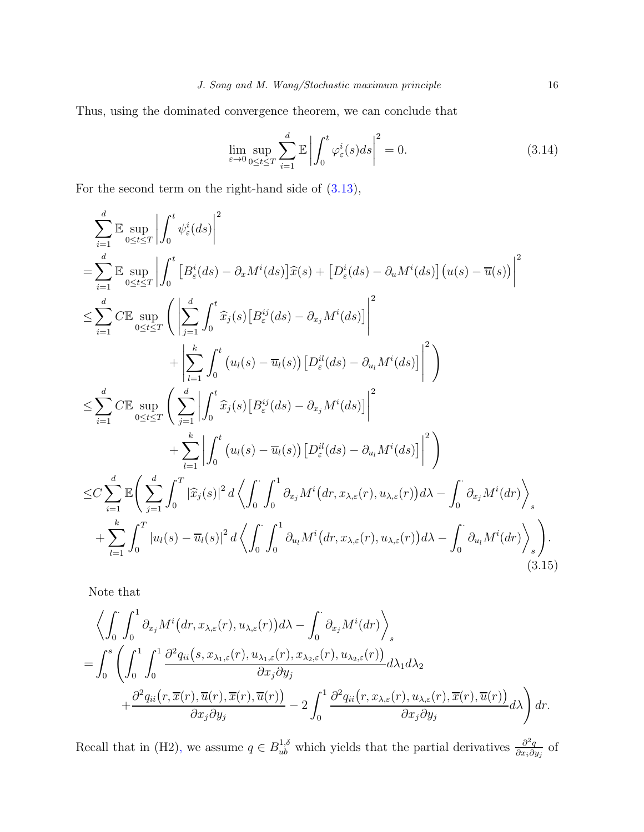Thus, using the dominated convergence theorem, we can conclude that

$$
\lim_{\varepsilon \to 0} \sup_{0 \le t \le T} \sum_{i=1}^d \mathbb{E} \left| \int_0^t \varphi_\varepsilon^i(s) ds \right|^2 = 0.
$$
\n(3.14)

For the second term on the right-hand side of [\(3.13\)](#page-14-0),

$$
\sum_{i=1}^{d} \mathbb{E} \sup_{0 \leq t \leq T} \left| \int_{0}^{t} \psi_{\varepsilon}^{i}(ds) \right|^{2}
$$
\n
$$
= \sum_{i=1}^{d} \mathbb{E} \sup_{0 \leq t \leq T} \left| \int_{0}^{t} \left[ B_{\varepsilon}^{i}(ds) - \partial_{x} M^{i}(ds) \right] \hat{x}(s) + \left[ D_{\varepsilon}^{i}(ds) - \partial_{u} M^{i}(ds) \right] (u(s) - \overline{u}(s)) \right|^{2}
$$
\n
$$
\leq \sum_{i=1}^{d} C \mathbb{E} \sup_{0 \leq t \leq T} \left( \left| \sum_{j=1}^{d} \int_{0}^{t} \hat{x}_{j}(s) \left[ B_{\varepsilon}^{ij}(ds) - \partial_{x_{j}} M^{i}(ds) \right] \right|^{2}
$$
\n
$$
+ \left| \sum_{l=1}^{k} \int_{0}^{t} \left( u_{l}(s) - \overline{u}_{l}(s) \right) \left[ D_{\varepsilon}^{il}(ds) - \partial_{u_{l}} M^{i}(ds) \right] \right|^{2}
$$
\n
$$
\leq \sum_{i=1}^{d} C \mathbb{E} \sup_{0 \leq t \leq T} \left( \sum_{j=1}^{d} \left| \int_{0}^{t} \hat{x}_{j}(s) \left[ B_{\varepsilon}^{ij}(ds) - \partial_{x_{j}} M^{i}(ds) \right] \right|^{2}
$$
\n
$$
+ \sum_{l=1}^{k} \left| \int_{0}^{t} \left( u_{l}(s) - \overline{u}_{l}(s) \right) \left[ D_{\varepsilon}^{il}(ds) - \partial_{u_{l}} M^{i}(ds) \right] \right|^{2}
$$
\n
$$
\leq C \sum_{i=1}^{d} \mathbb{E} \left( \sum_{j=1}^{d} \int_{0}^{T} |\hat{x}_{j}(s)|^{2} d \left\langle \int_{0}^{t} \int_{0}^{1} \partial_{x_{j}} M^{i}(dr, x_{\lambda,\varepsilon}(r), u_{\lambda,\varepsilon}(r)) d\lambda - \int_{0}^{t} \partial_{x_{j}} M^{i}(dr) \right\rangle_{s} + \sum_{l=1}^{k}
$$

Note that

$$
\left\langle \int_{0}^{T} \int_{0}^{1} \partial_{x_{j}} M^{i} (dr, x_{\lambda, \varepsilon}(r), u_{\lambda, \varepsilon}(r)) d\lambda - \int_{0}^{T} \partial_{x_{j}} M^{i} (dr) \right\rangle_{s}
$$
  
= 
$$
\int_{0}^{s} \left( \int_{0}^{1} \int_{0}^{1} \frac{\partial^{2} q_{ii} (s, x_{\lambda_{1}, \varepsilon}(r), u_{\lambda_{1}, \varepsilon}(r), x_{\lambda_{2}, \varepsilon}(r), u_{\lambda_{2}, \varepsilon}(r))}{\partial x_{j} \partial y_{j}} d\lambda_{1} d\lambda_{2} + \frac{\partial^{2} q_{ii} (r, \overline{x}(r), \overline{u}(r), \overline{x}(r), \overline{u}(r))}{\partial x_{j} \partial y_{j}} - 2 \int_{0}^{1} \frac{\partial^{2} q_{ii} (r, x_{\lambda, \varepsilon}(r), u_{\lambda, \varepsilon}(r), \overline{x}(r), \overline{u}(r))}{\partial x_{j} \partial y_{j}} d\lambda \right) dr.
$$

Recall that in (H2), we assume  $q \in B_{ub}^{1,\delta}$  which yields that the partial derivatives  $\frac{\partial^2 q}{\partial x_i \partial \phi}$  $\frac{\partial^2 q}{\partial x_i \partial y_j}$  of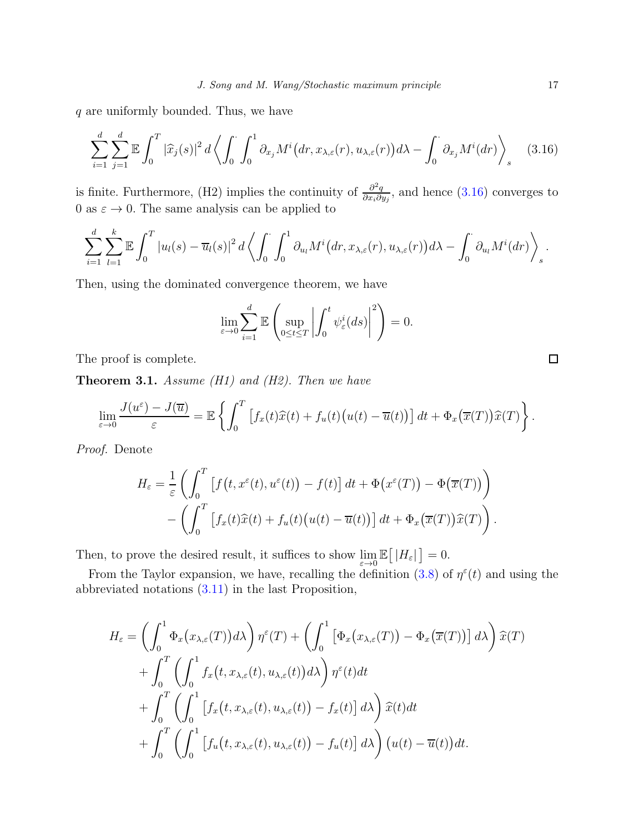q are uniformly bounded. Thus, we have

$$
\sum_{i=1}^{d} \sum_{j=1}^{d} \mathbb{E} \int_{0}^{T} |\widehat{x}_{j}(s)|^{2} d\left\langle \int_{0}^{1} \int_{0}^{1} \partial_{x_{j}} M^{i} (dr, x_{\lambda, \varepsilon}(r), u_{\lambda, \varepsilon}(r)) d\lambda - \int_{0}^{1} \partial_{x_{j}} M^{i} (dr) \right\rangle_{s}
$$
(3.16)

is finite. Furthermore, (H2) implies the continuity of  $\frac{\partial^2 q}{\partial x \cdot \partial y}$  $\frac{\partial^2 q}{\partial x_i \partial y_j}$ , and hence [\(3.16\)](#page-16-0) converges to 0 as  $\varepsilon \to 0$ . The same analysis can be applied to

$$
\sum_{i=1}^d \sum_{l=1}^k \mathbb{E} \int_0^T |u_l(s) - \overline{u}_l(s)|^2 d\left\langle \int_0^{\cdot} \int_0^1 \partial_{u_l} M^i \big(dr, x_{\lambda, \varepsilon}(r), u_{\lambda, \varepsilon}(r)\big)d\lambda - \int_0^{\cdot} \partial_{u_l} M^i \big(dr\big) \right\rangle_s.
$$

Then, using the dominated convergence theorem, we have

$$
\lim_{\varepsilon \to 0} \sum_{i=1}^d \mathbb{E} \left( \sup_{0 \le t \le T} \left| \int_0^t \psi_\varepsilon^i(ds) \right|^2 \right) = 0.
$$

The proof is complete.

<span id="page-16-1"></span>**Theorem 3.1.** Assume (H1) and (H2). Then we have

$$
\lim_{\varepsilon \to 0} \frac{J(u^{\varepsilon}) - J(\overline{u})}{\varepsilon} = \mathbb{E} \left\{ \int_0^T \left[ f_x(t)\widehat{x}(t) + f_u(t) \big( u(t) - \overline{u}(t) \big) \right] dt + \Phi_x(\overline{x}(T)) \widehat{x}(T) \right\}.
$$

Proof. Denote

$$
H_{\varepsilon} = \frac{1}{\varepsilon} \left( \int_0^T \left[ f(t, x^{\varepsilon}(t), u^{\varepsilon}(t)) - f(t) \right] dt + \Phi(x^{\varepsilon}(T)) - \Phi(\overline{x}(T)) \right) - \left( \int_0^T \left[ f_x(t) \widehat{x}(t) + f_u(t) \big( u(t) - \overline{u}(t) \big) \right] dt + \Phi_x(\overline{x}(T)) \widehat{x}(T) \right).
$$

Then, to prove the desired result, it suffices to show  $\lim_{\varepsilon \to 0} \mathbb{E} [ |H_{\varepsilon}| ] = 0.$ 

From the Taylor expansion, we have, recalling the definition [\(3.8\)](#page-12-1) of  $\eta^{\epsilon}(t)$  and using the abbreviated notations [\(3.11\)](#page-13-0) in the last Proposition,

$$
H_{\varepsilon} = \left(\int_{0}^{1} \Phi_{x}\big(x_{\lambda,\varepsilon}(T)\big)d\lambda\right)\eta^{\varepsilon}(T) + \left(\int_{0}^{1} \big[\Phi_{x}\big(x_{\lambda,\varepsilon}(T)\big) - \Phi_{x}\big(\overline{x}(T)\big)\big] d\lambda\right)\widehat{x}(T) + \int_{0}^{T} \left(\int_{0}^{1} f_{x}\big(t, x_{\lambda,\varepsilon}(t), u_{\lambda,\varepsilon}(t)\big)d\lambda\right)\eta^{\varepsilon}(t)dt + \int_{0}^{T} \left(\int_{0}^{1} \big[f_{x}\big(t, x_{\lambda,\varepsilon}(t), u_{\lambda,\varepsilon}(t)\big) - f_{x}(t)\big] d\lambda\right)\widehat{x}(t)dt + \int_{0}^{T} \left(\int_{0}^{1} \big[f_{u}\big(t, x_{\lambda,\varepsilon}(t), u_{\lambda,\varepsilon}(t)\big) - f_{u}(t)\big] d\lambda\right) \big(u(t) - \overline{u}(t)\big)dt.
$$

<span id="page-16-0"></span> $\Box$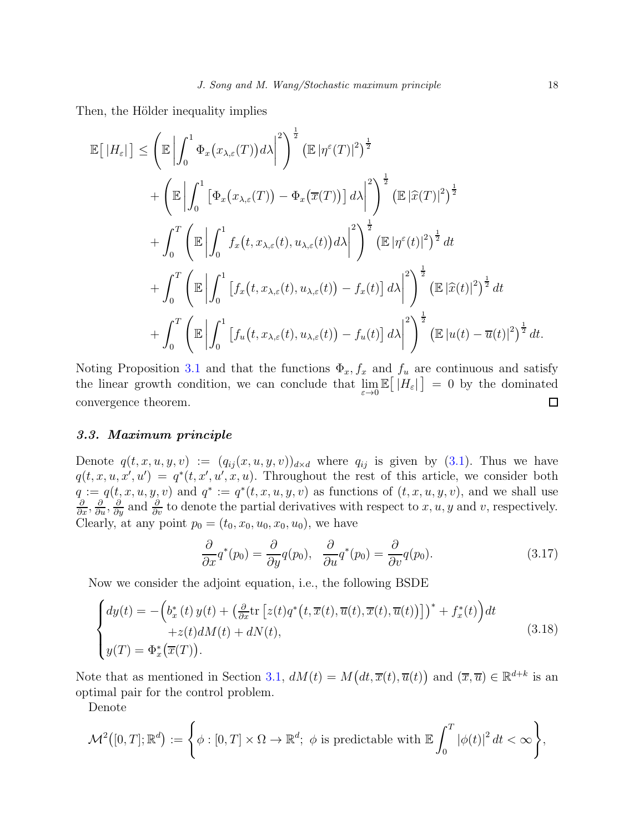Then, the Hölder inequality implies

$$
\mathbb{E}\left[\left|H_{\varepsilon}\right|\right] \leq \left(\mathbb{E}\left|\int_{0}^{1} \Phi_{x}\left(x_{\lambda,\varepsilon}(T)\right) d\lambda\right|^{2}\right)^{\frac{1}{2}} \left(\mathbb{E}\left|\eta^{\varepsilon}(T)\right|^{2}\right)^{\frac{1}{2}} \n+ \left(\mathbb{E}\left|\int_{0}^{1} \left[\Phi_{x}\left(x_{\lambda,\varepsilon}(T)\right) - \Phi_{x}\left(\overline{x}(T)\right)\right] d\lambda\right|^{2}\right)^{\frac{1}{2}} \left(\mathbb{E}\left|\widehat{x}(T)\right|^{2}\right)^{\frac{1}{2}} \n+ \int_{0}^{T} \left(\mathbb{E}\left|\int_{0}^{1} f_{x}\left(t, x_{\lambda,\varepsilon}(t), u_{\lambda,\varepsilon}(t)\right) d\lambda\right|^{2}\right)^{\frac{1}{2}} \left(\mathbb{E}\left|\eta^{\varepsilon}(t)\right|^{2}\right)^{\frac{1}{2}} dt \n+ \int_{0}^{T} \left(\mathbb{E}\left|\int_{0}^{1} \left[f_{x}\left(t, x_{\lambda,\varepsilon}(t), u_{\lambda,\varepsilon}(t)\right) - f_{x}(t)\right] d\lambda\right|^{2}\right)^{\frac{1}{2}} \left(\mathbb{E}\left|\widehat{x}(t)\right|^{2}\right)^{\frac{1}{2}} dt \n+ \int_{0}^{T} \left(\mathbb{E}\left|\int_{0}^{1} \left[f_{u}\left(t, x_{\lambda,\varepsilon}(t), u_{\lambda,\varepsilon}(t)\right) - f_{u}(t)\right] d\lambda\right|^{2}\right)^{\frac{1}{2}} \left(\mathbb{E}\left|\widehat{x}(t)\right|^{2}\right)^{\frac{1}{2}} dt \n+ \int_{0}^{T} \left(\mathbb{E}\left|\int_{0}^{1} \left[f_{u}\left(t, x_{\lambda,\varepsilon}(t), u_{\lambda,\varepsilon}(t)\right) - f_{u}(t)\right] d\lambda\right|^{2}\right)^{\frac{1}{2}} \left(\mathbb{E}\left|u(t) - \overline{u}(t)\right|^{2}\right)^{\frac{1}{2}} dt.
$$

Noting Proposition [3.1](#page-12-0) and that the functions  $\Phi_x, f_x$  and  $f_y$  are continuous and satisfy the linear growth condition, we can conclude that  $\lim_{\varepsilon\to 0} \mathbb{E} [H_{\varepsilon}] = 0$  by the dominated convergence theorem.  $\Box$ 

### <span id="page-17-0"></span>3.3. Maximum principle

Denote  $q(t, x, u, y, v) := (q_{ij}(x, u, y, v))_{d \times d}$  where  $q_{ij}$  is given by [\(3.1\)](#page-8-1). Thus we have  $q(t, x, u, x', u') = q^*(t, x', u', x, u)$ . Throughout the rest of this article, we consider both  $q := q(t, x, u, y, v)$  and  $q^* := q^*(t, x, u, y, v)$  as functions of  $(t, x, u, y, v)$ , and we shall use  $\frac{\partial}{\partial x}$ ,  $\frac{\partial}{\partial y}$ ,  $\frac{\partial}{\partial y}$  and  $\frac{\partial}{\partial v}$  to denote the partial derivatives with respect to x, u, y and v, respectively. Clearly, at any point  $p_0 = (t_0, x_0, u_0, x_0, u_0)$ , we have

<span id="page-17-2"></span>
$$
\frac{\partial}{\partial x}q^*(p_0) = \frac{\partial}{\partial y}q(p_0), \quad \frac{\partial}{\partial u}q^*(p_0) = \frac{\partial}{\partial v}q(p_0). \tag{3.17}
$$

Now we consider the adjoint equation, i.e., the following BSDE

<span id="page-17-1"></span>
$$
\begin{cases}\ndy(t) = -\left(b_x^*(t) y(t) + \left(\frac{\partial}{\partial x} \text{tr}\left[z(t) q^*(t, \overline{x}(t), \overline{u}(t), \overline{x}(t), \overline{u}(t))\right]\right)^* + f_x^*(t)\right)dt \\
+ z(t) dM(t) + dN(t), \\
y(T) = \Phi_x^*(\overline{x}(T)).\n\end{cases} \tag{3.18}
$$

Note that as mentioned in Section [3.1,](#page-7-1)  $dM(t) = M(dt, \overline{x}(t), \overline{u}(t))$  and  $(\overline{x}, \overline{u}) \in \mathbb{R}^{d+k}$  is an optimal pair for the control problem.

Denote

$$
\mathcal{M}^2([0,T];\mathbb{R}^d):=\Bigg\{\phi:[0,T]\times\Omega\to\mathbb{R}^d;\ \phi\text{ is predictable with }\mathbb{E}\int_0^T|\phi(t)|^2\,dt<\infty\Bigg\},
$$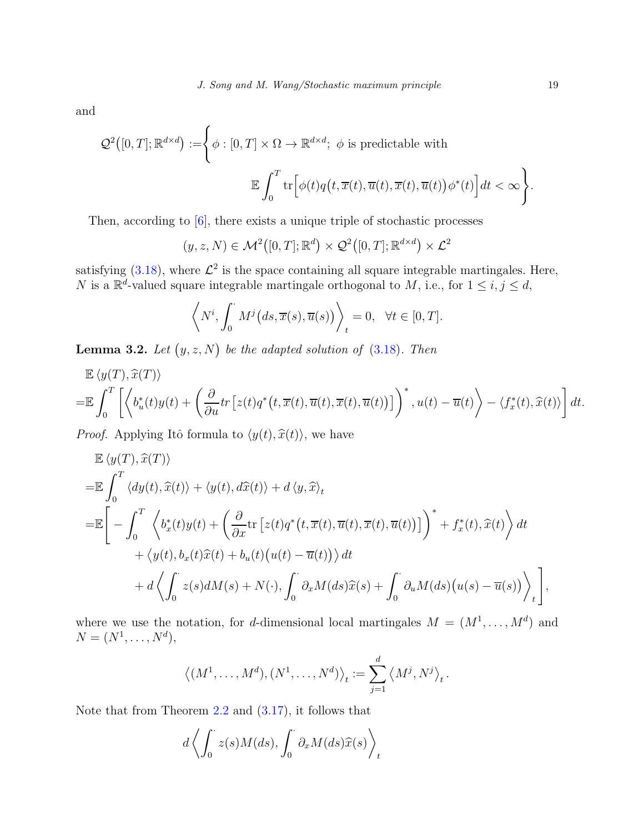and

$$
\mathcal{Q}^2([0,T];\mathbb{R}^{d\times d}) := \left\{\phi : [0,T]\times\Omega\to\mathbb{R}^{d\times d};\ \phi \text{ is predictable with}\right.
$$
  

$$
\mathbb{E}\int_0^T \text{tr}\Big[\phi(t)q\big(t,\overline{x}(t),\overline{u}(t),\overline{x}(t),\overline{u}(t)\big)\phi^*(t)\Big]dt < \infty\right\}.
$$

Then, according to [\[6\]](#page-25-10), there exists a unique triple of stochastic processes

$$
(y, z, N) \in \mathcal{M}^2([0, T]; \mathbb{R}^d) \times \mathcal{Q}^2([0, T]; \mathbb{R}^{d \times d}) \times \mathcal{L}^2
$$

satisfying [\(3.18\)](#page-17-1), where  $\mathcal{L}^2$  is the space containing all square integrable martingales. Here, N is a  $\mathbb{R}^d$ -valued square integrable martingale orthogonal to M, i.e., for  $1 \leq i, j \leq d$ ,

$$
\left\langle N^i, \int_0^\cdot M^j\big(ds, \overline{x}(s), \overline{u}(s)\big)\right\rangle_t = 0, \quad \forall t \in [0, T].
$$

<span id="page-18-0"></span>**Lemma 3.2.** Let  $(y, z, N)$  be the adapted solution of  $(3.18)$ . Then

$$
\mathbb{E} \langle y(T), \hat{x}(T) \rangle \n= \mathbb{E} \int_0^T \left[ \left\langle b_u^*(t) y(t) + \left( \frac{\partial}{\partial u} tr \left[ z(t) q^*(t, \overline{x}(t), \overline{u}(t), \overline{x}(t), \overline{u}(t)) \right] \right)^*, u(t) - \overline{u}(t) \right\rangle - \left\langle f_x^*(t), \hat{x}(t) \right\rangle \right] dt.
$$

*Proof.* Applying Itô formula to  $\langle y(t), \hat{x}(t) \rangle$ , we have

$$
\mathbb{E} \langle y(T), \hat{x}(T) \rangle \n= \mathbb{E} \int_0^T \langle dy(t), \hat{x}(t) \rangle + \langle y(t), d\hat{x}(t) \rangle + d \langle y, \hat{x} \rangle_t \n= \mathbb{E} \Bigg[ - \int_0^T \langle b_x^*(t)y(t) + \left( \frac{\partial}{\partial x} \text{tr} \left[ z(t) q^*(t, \overline{x}(t), \overline{u}(t), \overline{x}(t), \overline{u}(t)) \right] \right)^* + f_x^*(t), \hat{x}(t) \rangle dt \n+ \langle y(t), b_x(t) \hat{x}(t) + b_u(t) \big( u(t) - \overline{u}(t) \big) \rangle dt \n+ d \Big\langle \int_0^{\cdot} z(s) dM(s) + N(\cdot), \int_0^{\cdot} \partial_x M(ds) \hat{x}(s) + \int_0^{\cdot} \partial_u M(ds) \big( u(s) - \overline{u}(s) \big) \Big\rangle_t \Bigg],
$$

where we use the notation, for d-dimensional local martingales  $M = (M^1, \ldots, M^d)$  and  $N = (N^1, \ldots, N^d),$ 

$$
\langle (M^1, \ldots, M^d), (N^1, \ldots, N^d) \rangle_t := \sum_{j=1}^d \langle M^j, N^j \rangle_t.
$$

Note that from Theorem [2.2](#page-5-2) and [\(3.17\)](#page-17-2), it follows that

$$
d\left\langle \int_0^{\cdot} z(s)M(ds), \int_0^{\cdot} \partial_x M(ds) \widehat{x}(s) \right\rangle_t
$$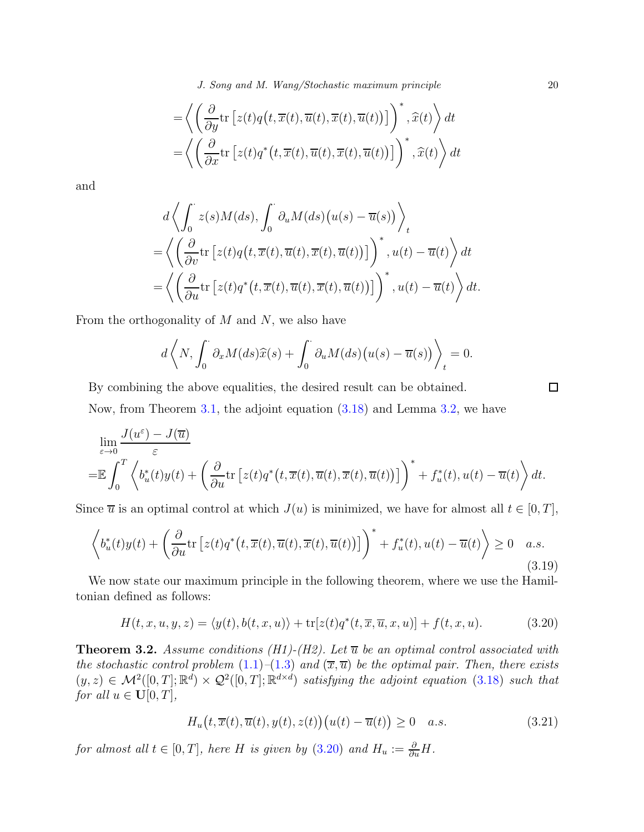J. Song and M. Wang/Stochastic maximum principle 20

$$
= \left\langle \left( \frac{\partial}{\partial y} \text{tr} \left[ z(t) q\big(t, \overline{x}(t), \overline{u}(t), \overline{x}(t), \overline{u}(t) \big) \right] \right)^*, \widehat{x}(t) \right\rangle dt = \left\langle \left( \frac{\partial}{\partial x} \text{tr} \left[ z(t) q^*(t, \overline{x}(t), \overline{u}(t), \overline{x}(t), \overline{u}(t)) \right] \right)^*, \widehat{x}(t) \right\rangle dt
$$

and

$$
d\left\langle \int_{0}^{t} z(s)M(ds), \int_{0}^{\cdot} \partial_{u}M(ds) (u(s) - \overline{u}(s)) \right\rangle_{t}
$$
  
=
$$
\left\langle \left( \frac{\partial}{\partial v} \text{tr} \left[ z(t)q\big(t, \overline{x}(t), \overline{u}(t), \overline{x}(t), \overline{u}(t) \big) \right] \right)^{*}, u(t) - \overline{u}(t) \right\rangle dt
$$
  
=
$$
\left\langle \left( \frac{\partial}{\partial u} \text{tr} \left[ z(t)q^{*}\big(t, \overline{x}(t), \overline{u}(t), \overline{x}(t), \overline{u}(t) \big) \right] \right)^{*}, u(t) - \overline{u}(t) \right\rangle dt.
$$

From the orthogonality of  $M$  and  $N$ , we also have

$$
d\left\langle N, \int_0^\cdot \partial_x M(ds) \widehat{x}(s) + \int_0^\cdot \partial_u M(ds) \big( u(s) - \overline{u}(s) \big) \right\rangle_t = 0.
$$

By combining the above equalities, the desired result can be obtained. Now, from Theorem [3.1,](#page-16-1) the adjoint equation [\(3.18\)](#page-17-1) and Lemma [3.2,](#page-18-0) we have

$$
\lim_{\varepsilon \to 0} \frac{J(u^{\varepsilon}) - J(\overline{u})}{\varepsilon} \n= \mathbb{E} \int_0^T \left\langle b_u^*(t) y(t) + \left( \frac{\partial}{\partial u} \text{tr} \left[ z(t) q^*(t, \overline{x}(t), \overline{u}(t), \overline{x}(t), \overline{u}(t)) \right] \right)^* + f_u^*(t), u(t) - \overline{u}(t) \right\rangle dt.
$$

Since  $\overline{u}$  is an optimal control at which  $J(u)$  is minimized, we have for almost all  $t \in [0, T]$ ,

<span id="page-19-2"></span>
$$
\left\langle b_u^*(t)y(t) + \left(\frac{\partial}{\partial u}\text{tr}\left[z(t)q^*\left(t,\overline{x}(t),\overline{u}(t),\overline{x}(t),\overline{u}(t)\right)\right]\right)^* + f_u^*(t), u(t) - \overline{u}(t)\right\rangle \ge 0 \quad a.s. \tag{3.19}
$$

We now state our maximum principle in the following theorem, where we use the Hamiltonian defined as follows:

<span id="page-19-0"></span>
$$
H(t, x, u, y, z) = \langle y(t), b(t, x, u) \rangle + \text{tr}[z(t)q^*(t, \overline{x}, \overline{u}, x, u)] + f(t, x, u). \tag{3.20}
$$

<span id="page-19-1"></span>**Theorem 3.2.** Assume conditions (H1)-(H2). Let  $\overline{u}$  be an optimal control associated with the stochastic control problem  $(1.1)$ – $(1.3)$  and  $(\overline{x}, \overline{u})$  be the optimal pair. Then, there exists  $(y, z) \in \mathcal{M}^2([0,T]; \mathbb{R}^d) \times \mathcal{Q}^2([0,T]; \mathbb{R}^{d \times d})$  satisfying the adjoint equation [\(3.18\)](#page-17-1) such that for all  $u \in \mathbf{U}[0,T],$ 

<span id="page-19-3"></span>
$$
H_u(t, \overline{x}(t), \overline{u}(t), y(t), z(t)) (u(t) - \overline{u}(t)) \ge 0 \quad a.s.
$$
 (3.21)

for almost all  $t \in [0, T]$ , here H is given by  $(3.20)$  and  $H_u := \frac{\partial}{\partial u}H$ .

 $\Box$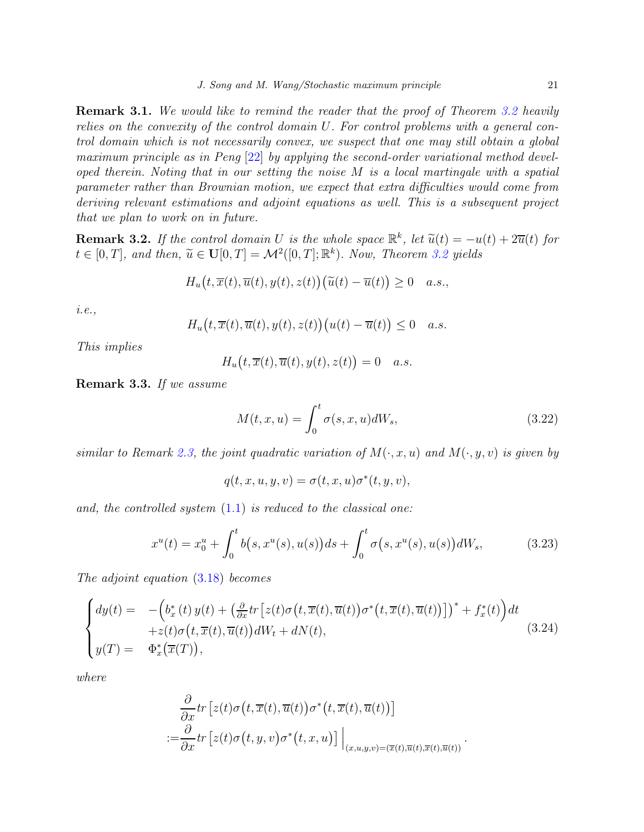**Remark 3.1.** We would like to remind the reader that the proof of Theorem [3.2](#page-19-1) heavily relies on the convexity of the control domain U. For control problems with a general control domain which is not necessarily convex, we suspect that one may still obtain a global maximum principle as in Peng [\[22\]](#page-26-2) by applying the second-order variational method developed therein. Noting that in our setting the noise M is a local martingale with a spatial parameter rather than Brownian motion, we expect that extra difficulties would come from deriving relevant estimations and adjoint equations as well. This is a subsequent project that we plan to work on in future.

<span id="page-20-1"></span>**Remark 3.2.** If the control domain U is the whole space  $\mathbb{R}^k$ , let  $\tilde{u}(t) = -u(t) + 2\overline{u}(t)$  for  $t \in [0, T]$ , and then,  $\widetilde{u} \in \mathbf{U}[0, T] = \mathcal{M}^2([0, T]; \mathbb{R}^k)$ . Now, Theorem [3.2](#page-19-1) yields

$$
H_u(t, \overline{x}(t), \overline{u}(t), y(t), z(t)) (\widetilde{u}(t) - \overline{u}(t)) \ge 0 \quad a.s.,
$$

i.e.,

$$
H_u(t, \overline{x}(t), \overline{u}(t), y(t), z(t)) (u(t) - \overline{u}(t)) \leq 0 \quad a.s.
$$

This implies

$$
H_u(t, \overline{x}(t), \overline{u}(t), y(t), z(t)) = 0 \quad a.s.
$$

Remark 3.3. If we assume

$$
M(t, x, u) = \int_0^t \sigma(s, x, u)dW_s,
$$
\n(3.22)

similar to Remark [2.3,](#page-7-3) the joint quadratic variation of  $M(\cdot, x, u)$  and  $M(\cdot, y, v)$  is given by

$$
q(t,x,u,y,v)=\sigma(t,x,u)\sigma^*(t,y,v),
$$

and, the controlled system  $(1.1)$  is reduced to the classical one:

<span id="page-20-2"></span>
$$
x^{u}(t) = x_{0}^{u} + \int_{0}^{t} b(s, x^{u}(s), u(s))ds + \int_{0}^{t} \sigma(s, x^{u}(s), u(s))dW_{s}, \qquad (3.23)
$$

The adjoint equation [\(3.18\)](#page-17-1) becomes

<span id="page-20-0"></span>
$$
\begin{cases}\ndy(t) = -\left(b_x^*(t) y(t) + \left(\frac{\partial}{\partial x} tr\left[z(t)\sigma\left(t, \overline{x}(t), \overline{u}(t)\right)\sigma^*(t, \overline{x}(t), \overline{u}(t)\right)\right]\right)^* + f_x^*(t)\right)dt \\
+ z(t)\sigma\left(t, \overline{x}(t), \overline{u}(t)\right)dW_t + dN(t), \\
y(T) = \Phi_x^*(\overline{x}(T)),\n\end{cases} \tag{3.24}
$$

where

$$
\frac{\partial}{\partial x}tr\left[z(t)\sigma(t,\overline{x}(t),\overline{u}(t))\sigma^*(t,\overline{x}(t),\overline{u}(t))\right]
$$
\n
$$
:=\frac{\partial}{\partial x}tr\left[z(t)\sigma(t,y,v)\sigma^*(t,x,u)\right]\Big|_{(x,u,y,v)=(\overline{x}(t),\overline{u}(t),\overline{x}(t),\overline{u}(t))}.
$$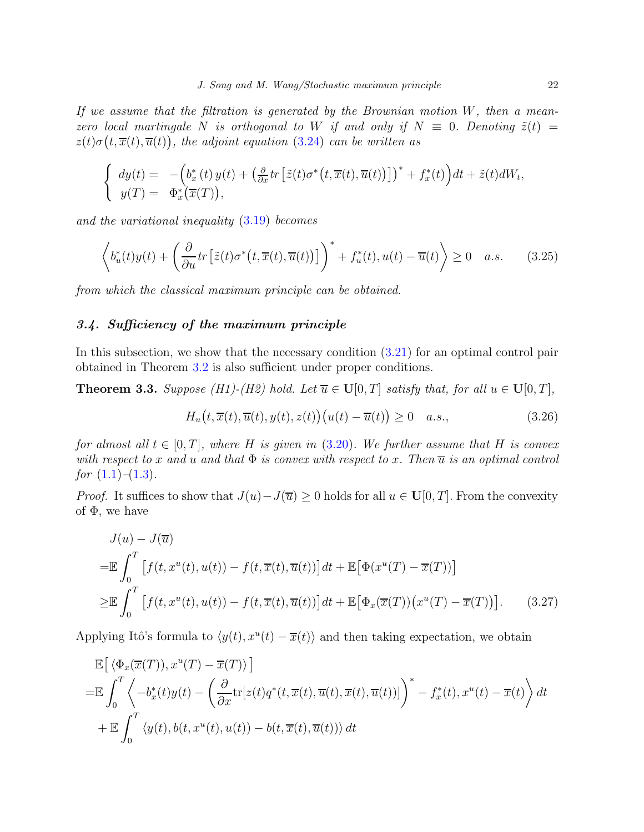If we assume that the filtration is generated by the Brownian motion  $W$ , then a meanzero local martingale N is orthogonal to W if and only if  $N \equiv 0$ . Denoting  $\tilde{z}(t) =$  $z(t)\sigma(t,\overline{x}(t),\overline{u}(t))$ , the adjoint equation [\(3.24\)](#page-20-0) can be written as

$$
\begin{cases}\n\frac{dy(t)}{y(T)} = -\left(b_x^*(t)y(t) + \left(\frac{\partial}{\partial x}tr\left[\tilde{z}(t)\sigma^*(t,\overline{x}(t),\overline{u}(t))\right]\right)^* + f_x^*(t)\right)dt + \tilde{z}(t)dW_t, \\
y(T) = \Phi_x^*(\overline{x}(T)),\n\end{cases}
$$

and the variational inequality [\(3.19\)](#page-19-2) becomes

<span id="page-21-2"></span>
$$
\left\langle b_u^*(t)y(t) + \left(\frac{\partial}{\partial u}tr\left[\tilde{z}(t)\sigma^*(t,\overline{x}(t),\overline{u}(t))\right]\right)^* + f_u^*(t), u(t) - \overline{u}(t)\right\rangle \ge 0 \quad a.s. \tag{3.25}
$$

from which the classical maximum principle can be obtained.

# <span id="page-21-0"></span>3.4. Sufficiency of the maximum principle

In this subsection, we show that the necessary condition [\(3.21\)](#page-19-3) for an optimal control pair obtained in Theorem [3.2](#page-19-1) is also sufficient under proper conditions.

**Theorem 3.3.** Suppose (H1)-(H2) hold. Let  $\overline{u} \in U[0,T]$  satisfy that, for all  $u \in U[0,T]$ ,

<span id="page-21-1"></span>
$$
H_u(t, \overline{x}(t), \overline{u}(t), y(t), z(t)) (u(t) - \overline{u}(t)) \ge 0 \quad a.s., \tag{3.26}
$$

for almost all  $t \in [0, T]$ , where H is given in  $(3.20)$ . We further assume that H is convex with respect to x and u and that  $\Phi$  is convex with respect to x. Then  $\overline{u}$  is an optimal control for  $(1.1)$ – $(1.3)$ .

*Proof.* It suffices to show that  $J(u) - J(\overline{u}) \geq 0$  holds for all  $u \in \mathbf{U}[0,T]$ . From the convexity of  $\Phi$ , we have

$$
J(u) - J(\overline{u})
$$
  
\n
$$
= \mathbb{E} \int_0^T \left[ f(t, x^u(t), u(t)) - f(t, \overline{x}(t), \overline{u}(t)) \right] dt + \mathbb{E} \left[ \Phi(x^u(T) - \overline{x}(T)) \right]
$$
  
\n
$$
\geq \mathbb{E} \int_0^T \left[ f(t, x^u(t), u(t)) - f(t, \overline{x}(t), \overline{u}(t)) \right] dt + \mathbb{E} \left[ \Phi_x(\overline{x}(T)) \left( x^u(T) - \overline{x}(T) \right) \right].
$$
 (3.27)

Applying Itô's formula to  $\langle y(t), x^u(t) - \overline{x}(t) \rangle$  and then taking expectation, we obtain

$$
\mathbb{E}\left[\left\langle \Phi_x(\overline{x}(T)), x^u(T) - \overline{x}(T) \right\rangle\right]
$$
\n
$$
= \mathbb{E}\int_0^T \left\langle -b_x^*(t)y(t) - \left(\frac{\partial}{\partial x}\text{tr}[z(t)q^*(t,\overline{x}(t),\overline{u}(t),\overline{x}(t),\overline{u}(t))] \right)^* - f_x^*(t), x^u(t) - \overline{x}(t)\right\rangle dt
$$
\n
$$
+ \mathbb{E}\int_0^T \left\langle y(t), b(t, x^u(t), u(t)) - b(t, \overline{x}(t), \overline{u}(t)) \right\rangle dt
$$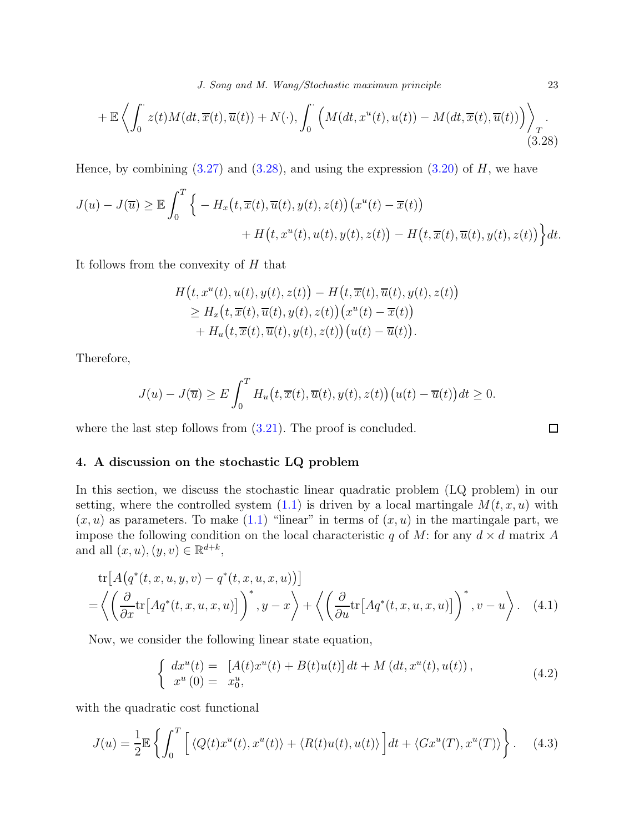J. Song and M. Wang/Stochastic maximum principle 23

$$
+\mathbb{E}\left\langle \int_0^{\cdot} z(t)M(dt,\overline{x}(t),\overline{u}(t)) + N(\cdot), \int_0^{\cdot} \left( M(dt,x^u(t),u(t)) - M(dt,\overline{x}(t),\overline{u}(t)) \right) \right\rangle_T.
$$
\n(3.28)

Hence, by combining  $(3.27)$  and  $(3.28)$ , and using the expression  $(3.20)$  of H, we have

$$
J(u) - J(\overline{u}) \ge \mathbb{E} \int_0^T \Big\{ -H_x(t, \overline{x}(t), \overline{u}(t), y(t), z(t)) \big(x^u(t) - \overline{x}(t)\big) + H\big(t, x^u(t), u(t), y(t), z(t)\big) - H\big(t, \overline{x}(t), \overline{u}(t), y(t), z(t)\big) \Big\} dt.
$$

It follows from the convexity of H that

$$
H(t, xu(t), u(t), y(t), z(t)) - H(t, \overline{x}(t), \overline{u}(t), y(t), z(t))
$$
  
\n
$$
\geq H_x(t, \overline{x}(t), \overline{u}(t), y(t), z(t)) (xu(t) - \overline{x}(t))
$$
  
\n
$$
+ H_u(t, \overline{x}(t), \overline{u}(t), y(t), z(t)) (u(t) - \overline{u}(t)).
$$

Therefore,

$$
J(u) - J(\overline{u}) \ge E \int_0^T H_u(t, \overline{x}(t), \overline{u}(t), y(t), z(t)) (u(t) - \overline{u}(t)) dt \ge 0.
$$

where the last step follows from  $(3.21)$ . The proof is concluded.

### <span id="page-22-0"></span>4. A discussion on the stochastic LQ problem

In this section, we discuss the stochastic linear quadratic problem (LQ problem) in our setting, where the controlled system  $(1.1)$  is driven by a local martingale  $M(t, x, u)$  with  $(x, u)$  as parameters. To make  $(1.1)$  "linear" in terms of  $(x, u)$  in the martingale part, we impose the following condition on the local characteristic q of M: for any  $d \times d$  matrix A and all  $(x, u), (y, v) \in \mathbb{R}^{d+k}$ ,

$$
\text{tr}\left[A\left(q^*(t,x,u,y,v)-q^*(t,x,u,x,u)\right)\right] \\ = \left\langle \left(\frac{\partial}{\partial x}\text{tr}\left[Aq^*(t,x,u,x,u)\right]\right)^*, y-x\right\rangle + \left\langle \left(\frac{\partial}{\partial u}\text{tr}\left[Aq^*(t,x,u,x,u)\right]\right)^*, v-u\right\rangle. \tag{4.1}
$$

Now, we consider the following linear state equation,

<span id="page-22-2"></span>
$$
\begin{cases}\n dx^u(t) = [A(t)x^u(t) + B(t)u(t)] dt + M(dt, x^u(t), u(t)), \nx^u(0) = x_0^u,\n\end{cases}
$$
\n(4.2)

with the quadratic cost functional

<span id="page-22-3"></span>
$$
J(u) = \frac{1}{2} \mathbb{E} \left\{ \int_0^T \left[ \langle Q(t)x^u(t), x^u(t) \rangle + \langle R(t)u(t), u(t) \rangle \right] dt + \langle Gx^u(T), x^u(T) \rangle \right\}.
$$
 (4.3)

<span id="page-22-1"></span>

<span id="page-22-4"></span> $\Box$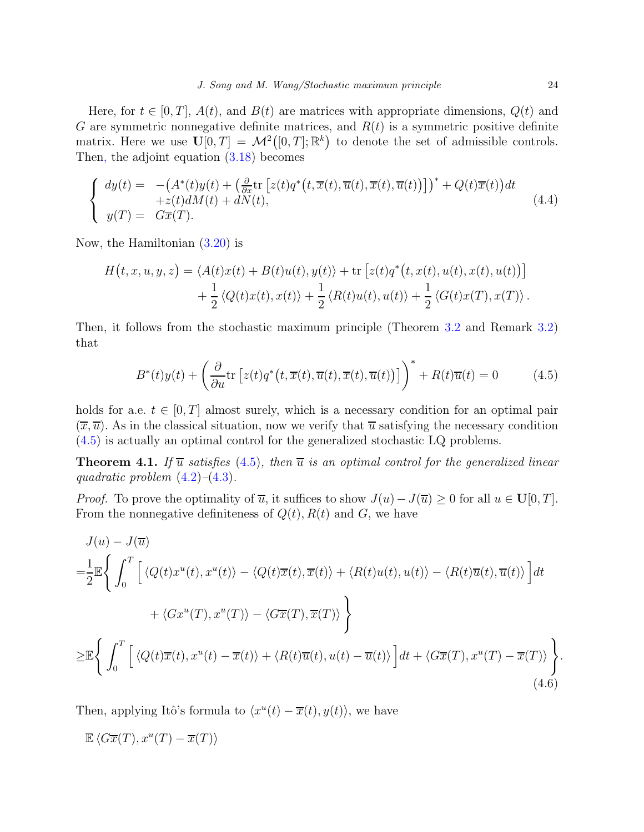Here, for  $t \in [0, T]$ ,  $A(t)$ , and  $B(t)$  are matrices with appropriate dimensions,  $Q(t)$  and G are symmetric nonnegative definite matrices, and  $R(t)$  is a symmetric positive definite matrix. Here we use  $\mathbf{U}[0,T] = \mathcal{M}^2([0,T];\mathbb{R}^k)$  to denote the set of admissible controls. Then, the adjoint equation [\(3.18\)](#page-17-1) becomes

$$
\begin{cases}\n\frac{dy(t)}{dt} = -\left(A^*(t)y(t) + \left(\frac{\partial}{\partial x}\text{tr}\left[z(t)q^*(t,\overline{x}(t),\overline{u}(t),\overline{x}(t),\overline{u}(t))\right]\right)^* + Q(t)\overline{x}(t)\right)dt \\
y(T) = G\overline{x}(T).\n\end{cases} \tag{4.4}
$$

Now, the Hamiltonian [\(3.20\)](#page-19-0) is

$$
H(t, x, u, y, z) = \langle A(t)x(t) + B(t)u(t), y(t) \rangle + \text{tr}\left[z(t)q^*(t, x(t), u(t), x(t), u(t))\right] + \frac{1}{2}\langle Q(t)x(t), x(t) \rangle + \frac{1}{2}\langle R(t)u(t), u(t) \rangle + \frac{1}{2}\langle G(t)x(T), x(T) \rangle.
$$

Then, it follows from the stochastic maximum principle (Theorem [3.2](#page-19-1) and Remark [3.2\)](#page-20-1) that

<span id="page-23-0"></span>
$$
B^*(t)y(t) + \left(\frac{\partial}{\partial u}\text{tr}\left[z(t)q^*(t,\overline{x}(t),\overline{u}(t),\overline{x}(t),\overline{u}(t))\right]\right)^* + R(t)\overline{u}(t) = 0 \tag{4.5}
$$

holds for a.e.  $t \in [0, T]$  almost surely, which is a necessary condition for an optimal pair  $(\overline{x}, \overline{u})$ . As in the classical situation, now we verify that  $\overline{u}$  satisfying the necessary condition [\(4.5\)](#page-23-0) is actually an optimal control for the generalized stochastic LQ problems.

**Theorem 4.1.** If  $\overline{u}$  satisfies [\(4.5\)](#page-23-0), then  $\overline{u}$  is an optimal control for the generalized linear quadratic problem  $(4.2)$ – $(4.3)$ .

*Proof.* To prove the optimality of  $\overline{u}$ , it suffices to show  $J(u) - J(\overline{u}) \geq 0$  for all  $u \in \mathbf{U}[0,T]$ . From the nonnegative definiteness of  $Q(t)$ ,  $R(t)$  and  $G$ , we have

$$
J(u) - J(\overline{u})
$$
  
\n
$$
= \frac{1}{2} \mathbb{E} \Biggl\{ \int_0^T \Biggl[ \langle Q(t)x^u(t), x^u(t) \rangle - \langle Q(t)\overline{x}(t), \overline{x}(t) \rangle + \langle R(t)u(t), u(t) \rangle - \langle R(t)\overline{u}(t), \overline{u}(t) \rangle \Biggr] dt
$$
  
\n
$$
+ \langle Gx^u(T), x^u(T) \rangle - \langle G\overline{x}(T), \overline{x}(T) \rangle \Biggr\}
$$
  
\n
$$
\geq \mathbb{E} \Biggl\{ \int_0^T \Biggl[ \langle Q(t)\overline{x}(t), x^u(t) - \overline{x}(t) \rangle + \langle R(t)\overline{u}(t), u(t) - \overline{u}(t) \rangle \Biggr] dt + \langle G\overline{x}(T), x^u(T) - \overline{x}(T) \rangle \Biggr\}.
$$
  
\n(4.6)

Then, applying Itô's formula to  $\langle x^u(t) - \overline{x}(t), y(t) \rangle$ , we have

<span id="page-23-1"></span>
$$
\mathbb{E}\left\langle G\overline{x}(T), x^u(T) - \overline{x}(T) \right\rangle
$$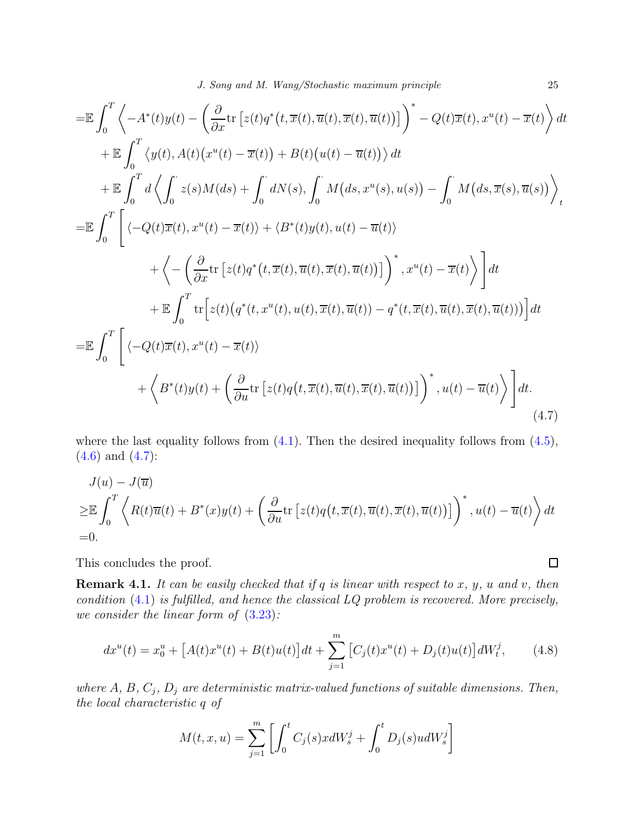$$
\begin{split}\n&= \mathbb{E} \int_{0}^{T} \left\langle -A^{*}(t)y(t) - \left( \frac{\partial}{\partial x} \text{tr} \left[ z(t) q^{*}(t, \overline{x}(t), \overline{u}(t), \overline{x}(t), \overline{u}(t)) \right] \right)^{*} - Q(t) \overline{x}(t), x^{u}(t) - \overline{x}(t) \right\rangle dt \\
&+ \mathbb{E} \int_{0}^{T} \left\langle y(t), A(t) (x^{u}(t) - \overline{x}(t)) + B(t) (u(t) - \overline{u}(t)) \right\rangle dt \\
&+ \mathbb{E} \int_{0}^{T} d \left\langle \int_{0}^{t} z(s) M(ds) + \int_{0}^{t} dN(s), \int_{0}^{t} M(ds, x^{u}(s), u(s)) - \int_{0}^{t} M(ds, \overline{x}(s), \overline{u}(s)) \right\rangle_{t} \\
&= \mathbb{E} \int_{0}^{T} \left[ \left\langle -Q(t) \overline{x}(t), x^{u}(t) - \overline{x}(t) \right\rangle + \left\langle B^{*}(t)y(t), u(t) - \overline{u}(t) \right\rangle + \left\langle -\left( \frac{\partial}{\partial x} \text{tr} \left[ z(t) q^{*}(t, \overline{x}(t), \overline{u}(t), \overline{x}(t), \overline{u}(t)) \right] \right)^{*}, x^{u}(t) - \overline{x}(t) \right\rangle \right] dt \\
&+ \mathbb{E} \int_{0}^{T} \text{tr} \left[ z(t) \left( q^{*}(t, x^{u}(t), u(t), \overline{x}(t), \overline{u}(t)) - q^{*}(t, \overline{x}(t), \overline{u}(t), \overline{x}(t), \overline{u}(t)) \right) \right] dt \\
&= \mathbb{E} \int_{0}^{T} \left[ \left\langle -Q(t) \overline{x}(t), x^{u}(t) - \overline{x}(t) \right\rangle + \left\langle \frac{\partial}{\partial u} \text{tr} \left[ z(t) q(t, \overline{x}(t), \overline{u}(t), \overline{x}(t), \overline{u}(t)) \right] \right)^{*}, u(t) - \overline{u}(t) \right\rangle \right] dt \\
&= \left( \frac{\partial}{\partial u} \left( \frac{\partial}{\partial u} \right)^{*}
$$

where the last equality follows from  $(4.1)$ . Then the desired inequality follows from  $(4.5)$ ,  $(4.6)$  and  $(4.7)$ :

$$
J(u) - J(\overline{u})
$$
  
\n
$$
\geq \mathbb{E} \int_0^T \left\langle R(t)\overline{u}(t) + B^*(x)y(t) + \left(\frac{\partial}{\partial u} \text{tr}\left[z(t)q(t,\overline{x}(t),\overline{u}(t),\overline{x}(t),\overline{u}(t))\right]\right)^*, u(t) - \overline{u}(t)\right\rangle dt
$$
  
\n=0.

This concludes the proof.

**Remark 4.1.** It can be easily checked that if q is linear with respect to x, y, u and v, then condition  $(4.1)$  is fulfilled, and hence the classical  $LQ$  problem is recovered. More precisely, we consider the linear form of [\(3.23\)](#page-20-2):

$$
dx^{u}(t) = x_{0}^{u} + [A(t)x^{u}(t) + B(t)u(t)]dt + \sum_{j=1}^{m} [C_{j}(t)x^{u}(t) + D_{j}(t)u(t)]dW_{t}^{j}, \qquad (4.8)
$$

where  $A, B, C_j, D_j$  are deterministic matrix-valued functions of suitable dimensions. Then, the local characteristic q of

$$
M(t, x, u) = \sum_{j=1}^{m} \left[ \int_{0}^{t} C_{j}(s) x dW_{s}^{j} + \int_{0}^{t} D_{j}(s) u dW_{s}^{j} \right]
$$

<span id="page-24-0"></span> $\Box$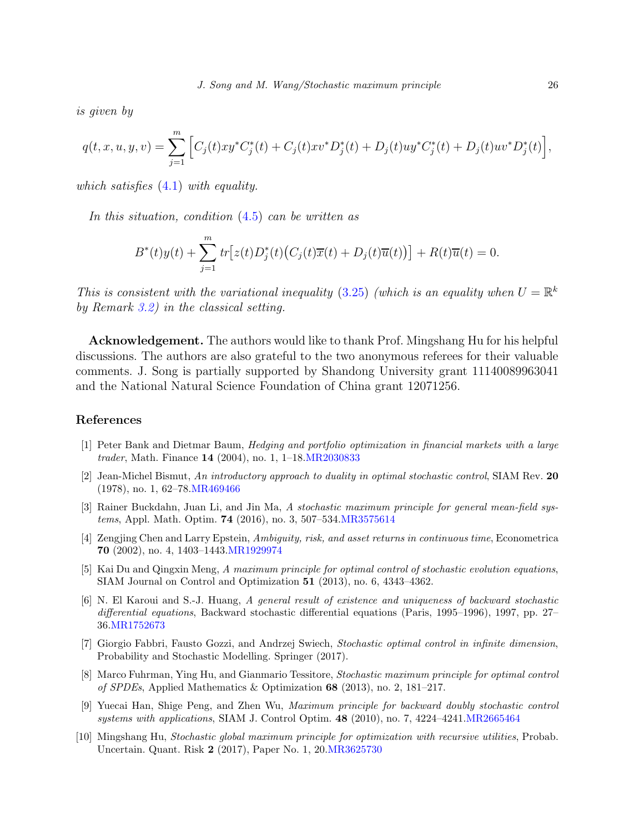is given by

$$
q(t, x, u, y, v) = \sum_{j=1}^{m} \left[ C_j(t)xy^*C_j^*(t) + C_j(t)xv^*D_j^*(t) + D_j(t)uy^*C_j^*(t) + D_j(t)uv^*D_j^*(t) \right],
$$

which satisfies  $(4.1)$  with equality.

In this situation, condition [\(4.5\)](#page-23-0) can be written as

$$
B^*(t)y(t) + \sum_{j=1}^m tr\big[z(t)D_j^*(t)\big(C_j(t)\overline{x}(t) + D_j(t)\overline{u}(t)\big)\big] + R(t)\overline{u}(t) = 0.
$$

This is consistent with the variational inequality [\(3.25\)](#page-21-2) (which is an equality when  $U = \mathbb{R}^k$ by Remark [3.2\)](#page-20-1) in the classical setting.

Acknowledgement. The authors would like to thank Prof. Mingshang Hu for his helpful discussions. The authors are also grateful to the two anonymous referees for their valuable comments. J. Song is partially supported by Shandong University grant 11140089963041 and the National Natural Science Foundation of China grant 12071256.

### <span id="page-25-0"></span>References

- <span id="page-25-9"></span>[1] Peter Bank and Dietmar Baum, Hedging and portfolio optimization in financial markets with a large trader, Math. Finance 14 (2004), no. 1, 1–18[.MR2030833](http://www.ams.org/mathscinet-getitem?mr=2030833)
- <span id="page-25-1"></span>[2] Jean-Michel Bismut, An introductory approach to duality in optimal stochastic control, SIAM Rev. 20 (1978), no. 1, 62–78[.MR469466](http://www.ams.org/mathscinet-getitem?mr=469466)
- <span id="page-25-2"></span>[3] Rainer Buckdahn, Juan Li, and Jin Ma, A stochastic maximum principle for general mean-field systems, Appl. Math. Optim. 74 (2016), no. 3, 507–534[.MR3575614](http://www.ams.org/mathscinet-getitem?mr=3575614)
- <span id="page-25-3"></span>[4] Zengjing Chen and Larry Epstein, Ambiguity, risk, and asset returns in continuous time, Econometrica 70 (2002), no. 4, 1403–1443[.MR1929974](http://www.ams.org/mathscinet-getitem?mr=1929974)
- <span id="page-25-6"></span>[5] Kai Du and Qingxin Meng, A maximum principle for optimal control of stochastic evolution equations, SIAM Journal on Control and Optimization 51 (2013), no. 6, 4343–4362.
- <span id="page-25-10"></span>[6] N. El Karoui and S.-J. Huang, A general result of existence and uniqueness of backward stochastic differential equations, Backward stochastic differential equations (Paris, 1995–1996), 1997, pp. 27– 36[.MR1752673](http://www.ams.org/mathscinet-getitem?mr=1752673)
- <span id="page-25-7"></span>[7] Giorgio Fabbri, Fausto Gozzi, and Andrzej Swiech, Stochastic optimal control in infinite dimension, Probability and Stochastic Modelling. Springer (2017).
- <span id="page-25-8"></span>[8] Marco Fuhrman, Ying Hu, and Gianmario Tessitore, Stochastic maximum principle for optimal control of SPDEs, Applied Mathematics & Optimization 68 (2013), no. 2, 181–217.
- <span id="page-25-5"></span>[9] Yuecai Han, Shige Peng, and Zhen Wu, Maximum principle for backward doubly stochastic control systems with applications, SIAM J. Control Optim. 48 (2010), no. 7, 4224–4241[.MR2665464](http://www.ams.org/mathscinet-getitem?mr=2665464)
- <span id="page-25-4"></span>[10] Mingshang Hu, Stochastic global maximum principle for optimization with recursive utilities, Probab. Uncertain. Quant. Risk 2 (2017), Paper No. 1, 20[.MR3625730](http://www.ams.org/mathscinet-getitem?mr=3625730)